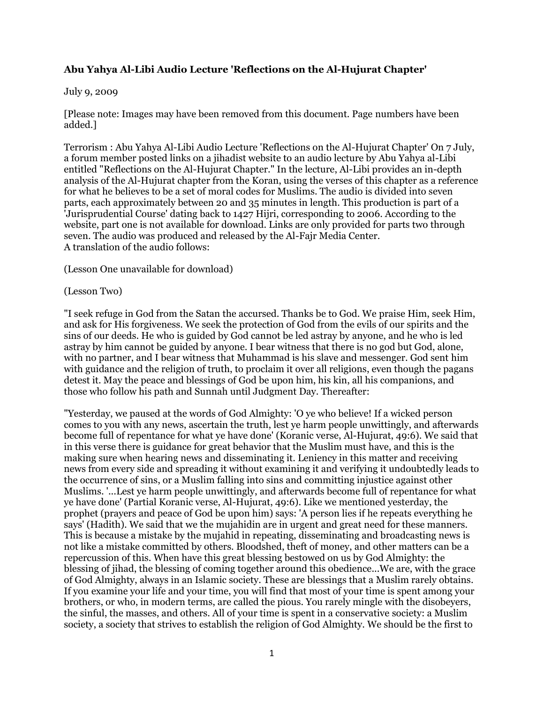## **Abu Yahya Al-Libi Audio Lecture 'Reflections on the Al-Hujurat Chapter'**

## July 9, 2009

[Please note: Images may have been removed from this document. Page numbers have been added.]

Terrorism : Abu Yahya Al-Libi Audio Lecture 'Reflections on the Al-Hujurat Chapter' On 7 July, a forum member posted links on a jihadist website to an audio lecture by Abu Yahya al-Libi entitled "Reflections on the Al-Hujurat Chapter." In the lecture, Al-Libi provides an in-depth analysis of the Al-Hujurat chapter from the Koran, using the verses of this chapter as a reference for what he believes to be a set of moral codes for Muslims. The audio is divided into seven parts, each approximately between 20 and 35 minutes in length. This production is part of a 'Jurisprudential Course' dating back to 1427 Hijri, corresponding to 2006. According to the website, part one is not available for download. Links are only provided for parts two through seven. The audio was produced and released by the Al-Fajr Media Center. A translation of the audio follows:

(Lesson One unavailable for download)

## (Lesson Two)

"I seek refuge in God from the Satan the accursed. Thanks be to God. We praise Him, seek Him, and ask for His forgiveness. We seek the protection of God from the evils of our spirits and the sins of our deeds. He who is guided by God cannot be led astray by anyone, and he who is led astray by him cannot be guided by anyone. I bear witness that there is no god but God, alone, with no partner, and I bear witness that Muhammad is his slave and messenger. God sent him with guidance and the religion of truth, to proclaim it over all religions, even though the pagans detest it. May the peace and blessings of God be upon him, his kin, all his companions, and those who follow his path and Sunnah until Judgment Day. Thereafter:

"Yesterday, we paused at the words of God Almighty: 'O ye who believe! If a wicked person comes to you with any news, ascertain the truth, lest ye harm people unwittingly, and afterwards become full of repentance for what ye have done' (Koranic verse, Al-Hujurat, 49:6). We said that in this verse there is guidance for great behavior that the Muslim must have, and this is the making sure when hearing news and disseminating it. Leniency in this matter and receiving news from every side and spreading it without examining it and verifying it undoubtedly leads to the occurrence of sins, or a Muslim falling into sins and committing injustice against other Muslims. '...Lest ye harm people unwittingly, and afterwards become full of repentance for what ye have done' (Partial Koranic verse, Al-Hujurat, 49:6). Like we mentioned yesterday, the prophet (prayers and peace of God be upon him) says: 'A person lies if he repeats everything he says' (Hadith). We said that we the mujahidin are in urgent and great need for these manners. This is because a mistake by the mujahid in repeating, disseminating and broadcasting news is not like a mistake committed by others. Bloodshed, theft of money, and other matters can be a repercussion of this. When have this great blessing bestowed on us by God Almighty: the blessing of jihad, the blessing of coming together around this obedience...We are, with the grace of God Almighty, always in an Islamic society. These are blessings that a Muslim rarely obtains. If you examine your life and your time, you will find that most of your time is spent among your brothers, or who, in modern terms, are called the pious. You rarely mingle with the disobeyers, the sinful, the masses, and others. All of your time is spent in a conservative society: a Muslim society, a society that strives to establish the religion of God Almighty. We should be the first to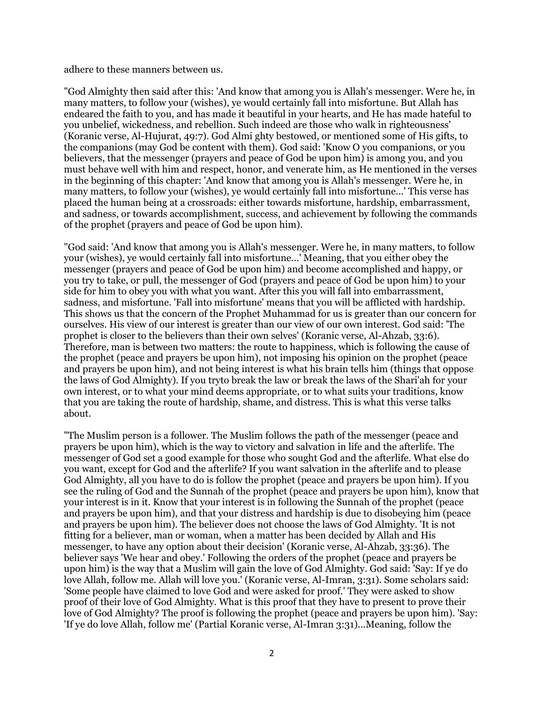adhere to these manners between us.

"God Almighty then said after this: 'And know that among you is Allah's messenger. Were he, in many matters, to follow your (wishes), ye would certainly fall into misfortune. But Allah has endeared the faith to you, and has made it beautiful in your hearts, and He has made hateful to you unbelief, wickedness, and rebellion. Such indeed are those who walk in righteousness' (Koranic verse, Al-Hujurat, 49:7). God Almi ghty bestowed, or mentioned some of His gifts, to the companions (may God be content with them). God said: 'Know O you companions, or you believers, that the messenger (prayers and peace of God be upon him) is among you, and you must behave well with him and respect, honor, and venerate him, as He mentioned in the verses in the beginning of this chapter: 'And know that among you is Allah's messenger. Were he, in many matters, to follow your (wishes), ye would certainly fall into misfortune...' This verse has placed the human being at a crossroads: either towards misfortune, hardship, embarrassment, and sadness, or towards accomplishment, success, and achievement by following the commands of the prophet (prayers and peace of God be upon him).

"God said: 'And know that among you is Allah's messenger. Were he, in many matters, to follow your (wishes), ye would certainly fall into misfortune...' Meaning, that you either obey the messenger (prayers and peace of God be upon him) and become accomplished and happy, or you try to take, or pull, the messenger of God (prayers and peace of God be upon him) to your side for him to obey you with what you want. After this you will fall into embarrassment, sadness, and misfortune. 'Fall into misfortune' means that you will be afflicted with hardship. This shows us that the concern of the Prophet Muhammad for us is greater than our concern for ourselves. His view of our interest is greater than our view of our own interest. God said: 'The prophet is closer to the believers than their own selves' (Koranic verse, Al-Ahzab, 33:6). Therefore, man is between two matters: the route to happiness, which is following the cause of the prophet (peace and prayers be upon him), not imposing his opinion on the prophet (peace and prayers be upon him), and not being interest is what his brain tells him (things that oppose the laws of God Almighty). If you tryto break the law or break the laws of the Shari'ah for your own interest, or to what your mind deems appropriate, or to what suits your traditions, know that you are taking the route of hardship, shame, and distress. This is what this verse talks about.

"The Muslim person is a follower. The Muslim follows the path of the messenger (peace and prayers be upon him), which is the way to victory and salvation in life and the afterlife. The messenger of God set a good example for those who sought God and the afterlife. What else do you want, except for God and the afterlife? If you want salvation in the afterlife and to please God Almighty, all you have to do is follow the prophet (peace and prayers be upon him). If you see the ruling of God and the Sunnah of the prophet (peace and prayers be upon him), know that your interest is in it. Know that your interest is in following the Sunnah of the prophet (peace and prayers be upon him), and that your distress and hardship is due to disobeying him (peace and prayers be upon him). The believer does not choose the laws of God Almighty. 'It is not fitting for a believer, man or woman, when a matter has been decided by Allah and His messenger, to have any option about their decision' (Koranic verse, Al-Ahzab, 33:36). The believer says 'We hear and obey.' Following the orders of the prophet (peace and prayers be upon him) is the way that a Muslim will gain the love of God Almighty. God said: 'Say: If ye do love Allah, follow me. Allah will love you.' (Koranic verse, Al-Imran, 3:31). Some scholars said: 'Some people have claimed to love God and were asked for proof.' They were asked to show proof of their love of God Almighty. What is this proof that they have to present to prove their love of God Almighty? The proof is following the prophet (peace and prayers be upon him). 'Say: 'If ye do love Allah, follow me' (Partial Koranic verse, Al-Imran 3:31)...Meaning, follow the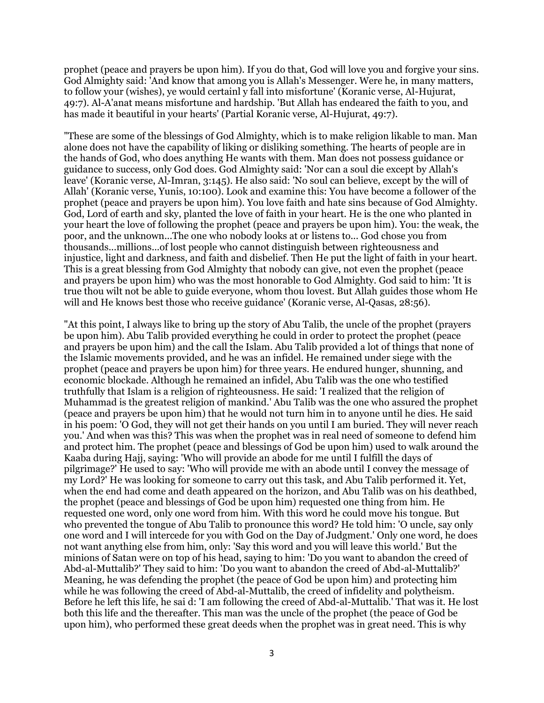prophet (peace and prayers be upon him). If you do that, God will love you and forgive your sins. God Almighty said: 'And know that among you is Allah's Messenger. Were he, in many matters, to follow your (wishes), ye would certainl y fall into misfortune' (Koranic verse, Al-Hujurat, 49:7). Al-A'anat means misfortune and hardship. 'But Allah has endeared the faith to you, and has made it beautiful in your hearts' (Partial Koranic verse, Al-Hujurat, 49:7).

"These are some of the blessings of God Almighty, which is to make religion likable to man. Man alone does not have the capability of liking or disliking something. The hearts of people are in the hands of God, who does anything He wants with them. Man does not possess guidance or guidance to success, only God does. God Almighty said: 'Nor can a soul die except by Allah's leave' (Koranic verse, Al-Imran, 3:145). He also said: 'No soul can believe, except by the will of Allah' (Koranic verse, Yunis, 10:100). Look and examine this: You have become a follower of the prophet (peace and prayers be upon him). You love faith and hate sins because of God Almighty. God, Lord of earth and sky, planted the love of faith in your heart. He is the one who planted in your heart the love of following the prophet (peace and prayers be upon him). You: the weak, the poor, and the unknown...The one who nobody looks at or listens to... God chose you from thousands...millions...of lost people who cannot distinguish between righteousness and injustice, light and darkness, and faith and disbelief. Then He put the light of faith in your heart. This is a great blessing from God Almighty that nobody can give, not even the prophet (peace and prayers be upon him) who was the most honorable to God Almighty. God said to him: 'It is true thou wilt not be able to guide everyone, whom thou lovest. But Allah guides those whom He will and He knows best those who receive guidance' (Koranic verse, Al-Qasas, 28:56).

"At this point, I always like to bring up the story of Abu Talib, the uncle of the prophet (prayers be upon him). Abu Talib provided everything he could in order to protect the prophet (peace and prayers be upon him) and the call the Islam. Abu Talib provided a lot of things that none of the Islamic movements provided, and he was an infidel. He remained under siege with the prophet (peace and prayers be upon him) for three years. He endured hunger, shunning, and economic blockade. Although he remained an infidel, Abu Talib was the one who testified truthfully that Islam is a religion of righteousness. He said: 'I realized that the religion of Muhammad is the greatest religion of mankind.' Abu Talib was the one who assured the prophet (peace and prayers be upon him) that he would not turn him in to anyone until he dies. He said in his poem: 'O God, they will not get their hands on you until I am buried. They will never reach you.' And when was this? This was when the prophet was in real need of someone to defend him and protect him. The prophet (peace and blessings of God be upon him) used to walk around the Kaaba during Hajj, saying: 'Who will provide an abode for me until I fulfill the days of pilgrimage?' He used to say: 'Who will provide me with an abode until I convey the message of my Lord?' He was looking for someone to carry out this task, and Abu Talib performed it. Yet, when the end had come and death appeared on the horizon, and Abu Talib was on his deathbed, the prophet (peace and blessings of God be upon him) requested one thing from him. He requested one word, only one word from him. With this word he could move his tongue. But who prevented the tongue of Abu Talib to pronounce this word? He told him: 'O uncle, say only one word and I will intercede for you with God on the Day of Judgment.' Only one word, he does not want anything else from him, only: 'Say this word and you will leave this world.' But the minions of Satan were on top of his head, saying to him: 'Do you want to abandon the creed of Abd-al-Muttalib?' They said to him: 'Do you want to abandon the creed of Abd-al-Muttalib?' Meaning, he was defending the prophet (the peace of God be upon him) and protecting him while he was following the creed of Abd-al-Muttalib, the creed of infidelity and polytheism. Before he left this life, he sai d: 'I am following the creed of Abd-al-Muttalib.' That was it. He lost both this life and the thereafter. This man was the uncle of the prophet (the peace of God be upon him), who performed these great deeds when the prophet was in great need. This is why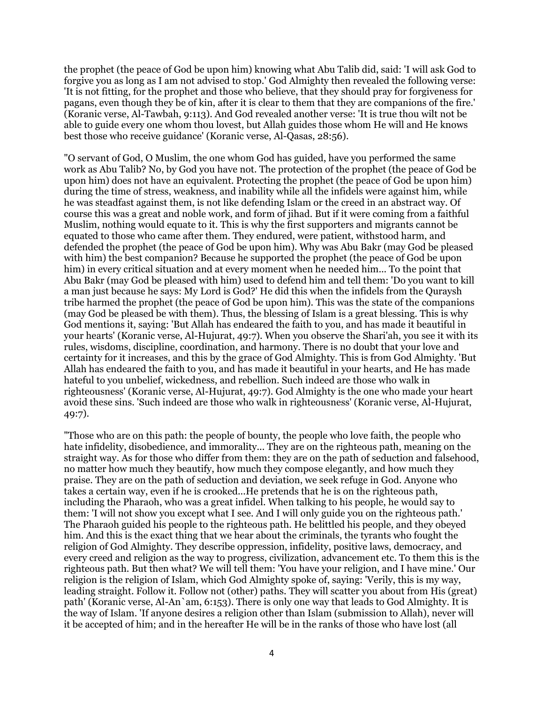the prophet (the peace of God be upon him) knowing what Abu Talib did, said: 'I will ask God to forgive you as long as I am not advised to stop.' God Almighty then revealed the following verse: 'It is not fitting, for the prophet and those who believe, that they should pray for forgiveness for pagans, even though they be of kin, after it is clear to them that they are companions of the fire.' (Koranic verse, Al-Tawbah, 9:113). And God revealed another verse: 'It is true thou wilt not be able to guide every one whom thou lovest, but Allah guides those whom He will and He knows best those who receive guidance' (Koranic verse, Al-Qasas, 28:56).

"O servant of God, O Muslim, the one whom God has guided, have you performed the same work as Abu Talib? No, by God you have not. The protection of the prophet (the peace of God be upon him) does not have an equivalent. Protecting the prophet (the peace of God be upon him) during the time of stress, weakness, and inability while all the infidels were against him, while he was steadfast against them, is not like defending Islam or the creed in an abstract way. Of course this was a great and noble work, and form of jihad. But if it were coming from a faithful Muslim, nothing would equate to it. This is why the first supporters and migrants cannot be equated to those who came after them. They endured, were patient, withstood harm, and defended the prophet (the peace of God be upon him). Why was Abu Bakr (may God be pleased with him) the best companion? Because he supported the prophet (the peace of God be upon him) in every critical situation and at every moment when he needed him... To the point that Abu Bakr (may God be pleased with him) used to defend him and tell them: 'Do you want to kill a man just because he says: My Lord is God?' He did this when the infidels from the Quraysh tribe harmed the prophet (the peace of God be upon him). This was the state of the companions (may God be pleased be with them). Thus, the blessing of Islam is a great blessing. This is why God mentions it, saying: 'But Allah has endeared the faith to you, and has made it beautiful in your hearts' (Koranic verse, Al-Hujurat, 49:7). When you observe the Shari'ah, you see it with its rules, wisdoms, discipline, coordination, and harmony. There is no doubt that your love and certainty for it increases, and this by the grace of God Almighty. This is from God Almighty. 'But Allah has endeared the faith to you, and has made it beautiful in your hearts, and He has made hateful to you unbelief, wickedness, and rebellion. Such indeed are those who walk in righteousness' (Koranic verse, Al-Hujurat, 49:7). God Almighty is the one who made your heart avoid these sins. 'Such indeed are those who walk in righteousness' (Koranic verse, Al-Hujurat, 49:7).

"Those who are on this path: the people of bounty, the people who love faith, the people who hate infidelity, disobedience, and immorality... They are on the righteous path, meaning on the straight way. As for those who differ from them: they are on the path of seduction and falsehood, no matter how much they beautify, how much they compose elegantly, and how much they praise. They are on the path of seduction and deviation, we seek refuge in God. Anyone who takes a certain way, even if he is crooked...He pretends that he is on the righteous path, including the Pharaoh, who was a great infidel. When talking to his people, he would say to them: 'I will not show you except what I see. And I will only guide you on the righteous path.' The Pharaoh guided his people to the righteous path. He belittled his people, and they obeyed him. And this is the exact thing that we hear about the criminals, the tyrants who fought the religion of God Almighty. They describe oppression, infidelity, positive laws, democracy, and every creed and religion as the way to progress, civilization, advancement etc. To them this is the righteous path. But then what? We will tell them: 'You have your religion, and I have mine.' Our religion is the religion of Islam, which God Almighty spoke of, saying: 'Verily, this is my way, leading straight. Follow it. Follow not (other) paths. They will scatter you about from His (great) path' (Koranic verse, Al-An`am, 6:153). There is only one way that leads to God Almighty. It is the way of Islam. 'If anyone desires a religion other than Islam (submission to Allah), never will it be accepted of him; and in the hereafter He will be in the ranks of those who have lost (all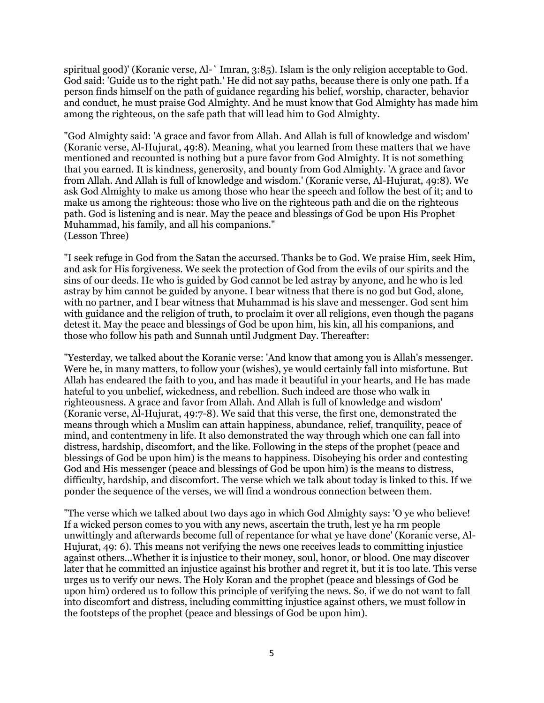spiritual good)' (Koranic verse, Al-` Imran, 3:85). Islam is the only religion acceptable to God. God said: 'Guide us to the right path.' He did not say paths, because there is only one path. If a person finds himself on the path of guidance regarding his belief, worship, character, behavior and conduct, he must praise God Almighty. And he must know that God Almighty has made him among the righteous, on the safe path that will lead him to God Almighty.

"God Almighty said: 'A grace and favor from Allah. And Allah is full of knowledge and wisdom' (Koranic verse, Al-Hujurat, 49:8). Meaning, what you learned from these matters that we have mentioned and recounted is nothing but a pure favor from God Almighty. It is not something that you earned. It is kindness, generosity, and bounty from God Almighty. 'A grace and favor from Allah. And Allah is full of knowledge and wisdom.' (Koranic verse, Al-Hujurat, 49:8). We ask God Almighty to make us among those who hear the speech and follow the best of it; and to make us among the righteous: those who live on the righteous path and die on the righteous path. God is listening and is near. May the peace and blessings of God be upon His Prophet Muhammad, his family, and all his companions." (Lesson Three)

"I seek refuge in God from the Satan the accursed. Thanks be to God. We praise Him, seek Him, and ask for His forgiveness. We seek the protection of God from the evils of our spirits and the sins of our deeds. He who is guided by God cannot be led astray by anyone, and he who is led astray by him cannot be guided by anyone. I bear witness that there is no god but God, alone, with no partner, and I bear witness that Muhammad is his slave and messenger. God sent him with guidance and the religion of truth, to proclaim it over all religions, even though the pagans detest it. May the peace and blessings of God be upon him, his kin, all his companions, and those who follow his path and Sunnah until Judgment Day. Thereafter:

"Yesterday, we talked about the Koranic verse: 'And know that among you is Allah's messenger. Were he, in many matters, to follow your (wishes), ye would certainly fall into misfortune. But Allah has endeared the faith to you, and has made it beautiful in your hearts, and He has made hateful to you unbelief, wickedness, and rebellion. Such indeed are those who walk in righteousness. A grace and favor from Allah. And Allah is full of knowledge and wisdom' (Koranic verse, Al-Hujurat, 49:7-8). We said that this verse, the first one, demonstrated the means through which a Muslim can attain happiness, abundance, relief, tranquility, peace of mind, and contentmeny in life. It also demonstrated the way through which one can fall into distress, hardship, discomfort, and the like. Following in the steps of the prophet (peace and blessings of God be upon him) is the means to happiness. Disobeying his order and contesting God and His messenger (peace and blessings of God be upon him) is the means to distress, difficulty, hardship, and discomfort. The verse which we talk about today is linked to this. If we ponder the sequence of the verses, we will find a wondrous connection between them.

"The verse which we talked about two days ago in which God Almighty says: 'O ye who believe! If a wicked person comes to you with any news, ascertain the truth, lest ye ha rm people unwittingly and afterwards become full of repentance for what ye have done' (Koranic verse, Al-Hujurat, 49: 6). This means not verifying the news one receives leads to committing injustice against others...Whether it is injustice to their money, soul, honor, or blood. One may discover later that he committed an injustice against his brother and regret it, but it is too late. This verse urges us to verify our news. The Holy Koran and the prophet (peace and blessings of God be upon him) ordered us to follow this principle of verifying the news. So, if we do not want to fall into discomfort and distress, including committing injustice against others, we must follow in the footsteps of the prophet (peace and blessings of God be upon him).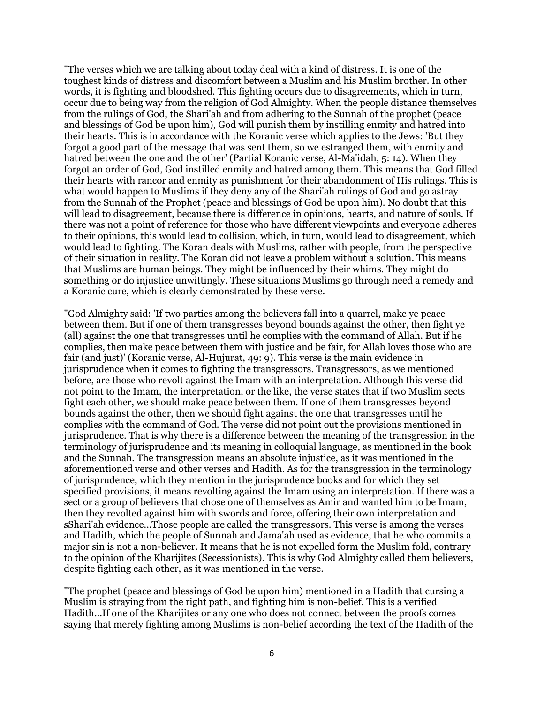"The verses which we are talking about today deal with a kind of distress. It is one of the toughest kinds of distress and discomfort between a Muslim and his Muslim brother. In other words, it is fighting and bloodshed. This fighting occurs due to disagreements, which in turn, occur due to being way from the religion of God Almighty. When the people distance themselves from the rulings of God, the Shari'ah and from adhering to the Sunnah of the prophet (peace and blessings of God be upon him), God will punish them by instilling enmity and hatred into their hearts. This is in accordance with the Koranic verse which applies to the Jews: 'But they forgot a good part of the message that was sent them, so we estranged them, with enmity and hatred between the one and the other' (Partial Koranic verse, Al-Ma'idah, 5: 14). When they forgot an order of God, God instilled enmity and hatred among them. This means that God filled their hearts with rancor and enmity as punishment for their abandonment of His rulings. This is what would happen to Muslims if they deny any of the Shari'ah rulings of God and go astray from the Sunnah of the Prophet (peace and blessings of God be upon him). No doubt that this will lead to disagreement, because there is difference in opinions, hearts, and nature of souls. If there was not a point of reference for those who have different viewpoints and everyone adheres to their opinions, this would lead to collision, which, in turn, would lead to disagreement, which would lead to fighting. The Koran deals with Muslims, rather with people, from the perspective of their situation in reality. The Koran did not leave a problem without a solution. This means that Muslims are human beings. They might be influenced by their whims. They might do something or do injustice unwittingly. These situations Muslims go through need a remedy and a Koranic cure, which is clearly demonstrated by these verse.

"God Almighty said: 'If two parties among the believers fall into a quarrel, make ye peace between them. But if one of them transgresses beyond bounds against the other, then fight ye (all) against the one that transgresses until he complies with the command of Allah. But if he complies, then make peace between them with justice and be fair, for Allah loves those who are fair (and just)' (Koranic verse, Al-Hujurat, 49: 9). This verse is the main evidence in jurisprudence when it comes to fighting the transgressors. Transgressors, as we mentioned before, are those who revolt against the Imam with an interpretation. Although this verse did not point to the Imam, the interpretation, or the like, the verse states that if two Muslim sects fight each other, we should make peace between them. If one of them transgresses beyond bounds against the other, then we should fight against the one that transgresses until he complies with the command of God. The verse did not point out the provisions mentioned in jurisprudence. That is why there is a difference between the meaning of the transgression in the terminology of jurisprudence and its meaning in colloquial language, as mentioned in the book and the Sunnah. The transgression means an absolute injustice, as it was mentioned in the aforementioned verse and other verses and Hadith. As for the transgression in the terminology of jurisprudence, which they mention in the jurisprudence books and for which they set specified provisions, it means revolting against the Imam using an interpretation. If there was a sect or a group of believers that chose one of themselves as Amir and wanted him to be Imam, then they revolted against him with swords and force, offering their own interpretation and sShari'ah evidence...Those people are called the transgressors. This verse is among the verses and Hadith, which the people of Sunnah and Jama'ah used as evidence, that he who commits a major sin is not a non-believer. It means that he is not expelled form the Muslim fold, contrary to the opinion of the Kharijites (Secessionists). This is why God Almighty called them believers, despite fighting each other, as it was mentioned in the verse.

"The prophet (peace and blessings of God be upon him) mentioned in a Hadith that cursing a Muslim is straying from the right path, and fighting him is non-belief. This is a verified Hadith...If one of the Kharijites or any one who does not connect between the proofs comes saying that merely fighting among Muslims is non-belief according the text of the Hadith of the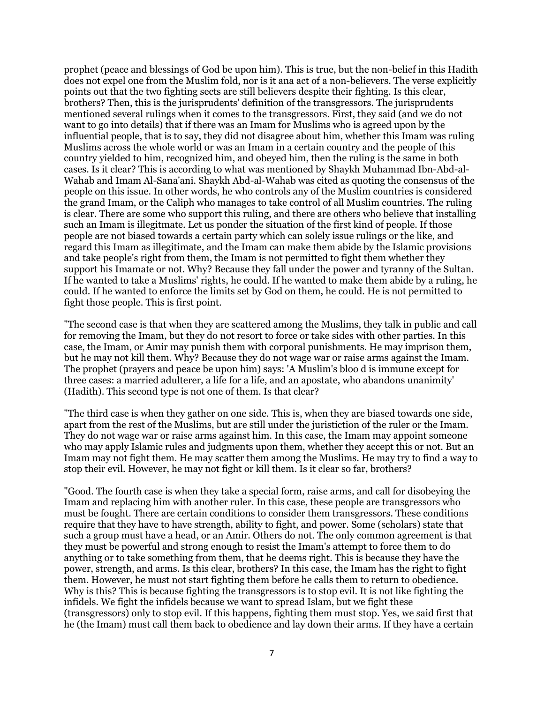prophet (peace and blessings of God be upon him). This is true, but the non-belief in this Hadith does not expel one from the Muslim fold, nor is it ana act of a non-believers. The verse explicitly points out that the two fighting sects are still believers despite their fighting. Is this clear, brothers? Then, this is the jurisprudents' definition of the transgressors. The jurisprudents mentioned several rulings when it comes to the transgressors. First, they said (and we do not want to go into details) that if there was an Imam for Muslims who is agreed upon by the influential people, that is to say, they did not disagree about him, whether this Imam was ruling Muslims across the whole world or was an Imam in a certain country and the people of this country yielded to him, recognized him, and obeyed him, then the ruling is the same in both cases. Is it clear? This is according to what was mentioned by Shaykh Muhammad Ibn-Abd-al-Wahab and Imam Al-Sana'ani. Shaykh Abd-al-Wahab was cited as quoting the consensus of the people on this issue. In other words, he who controls any of the Muslim countries is considered the grand Imam, or the Caliph who manages to take control of all Muslim countries. The ruling is clear. There are some who support this ruling, and there are others who believe that installing such an Imam is illegitmate. Let us ponder the situation of the first kind of people. If those people are not biased towards a certain party which can solely issue rulings or the like, and regard this Imam as illegitimate, and the Imam can make them abide by the Islamic provisions and take people's right from them, the Imam is not permitted to fight them whether they support his Imamate or not. Why? Because they fall under the power and tyranny of the Sultan. If he wanted to take a Muslims' rights, he could. If he wanted to make them abide by a ruling, he could. If he wanted to enforce the limits set by God on them, he could. He is not permitted to fight those people. This is first point.

"The second case is that when they are scattered among the Muslims, they talk in public and call for removing the Imam, but they do not resort to force or take sides with other parties. In this case, the Imam, or Amir may punish them with corporal punishments. He may imprison them, but he may not kill them. Why? Because they do not wage war or raise arms against the Imam. The prophet (prayers and peace be upon him) says: 'A Muslim's bloo d is immune except for three cases: a married adulterer, a life for a life, and an apostate, who abandons unanimity' (Hadith). This second type is not one of them. Is that clear?

"The third case is when they gather on one side. This is, when they are biased towards one side, apart from the rest of the Muslims, but are still under the juristiction of the ruler or the Imam. They do not wage war or raise arms against him. In this case, the Imam may appoint someone who may apply Islamic rules and judgments upon them, whether they accept this or not. But an Imam may not fight them. He may scatter them among the Muslims. He may try to find a way to stop their evil. However, he may not fight or kill them. Is it clear so far, brothers?

"Good. The fourth case is when they take a special form, raise arms, and call for disobeying the Imam and replacing him with another ruler. In this case, these people are transgressors who must be fought. There are certain conditions to consider them transgressors. These conditions require that they have to have strength, ability to fight, and power. Some (scholars) state that such a group must have a head, or an Amir. Others do not. The only common agreement is that they must be powerful and strong enough to resist the Imam's attempt to force them to do anything or to take something from them, that he deems right. This is because they have the power, strength, and arms. Is this clear, brothers? In this case, the Imam has the right to fight them. However, he must not start fighting them before he calls them to return to obedience. Why is this? This is because fighting the transgressors is to stop evil. It is not like fighting the infidels. We fight the infidels because we want to spread Islam, but we fight these (transgressors) only to stop evil. If this happens, fighting them must stop. Yes, we said first that he (the Imam) must call them back to obedience and lay down their arms. If they have a certain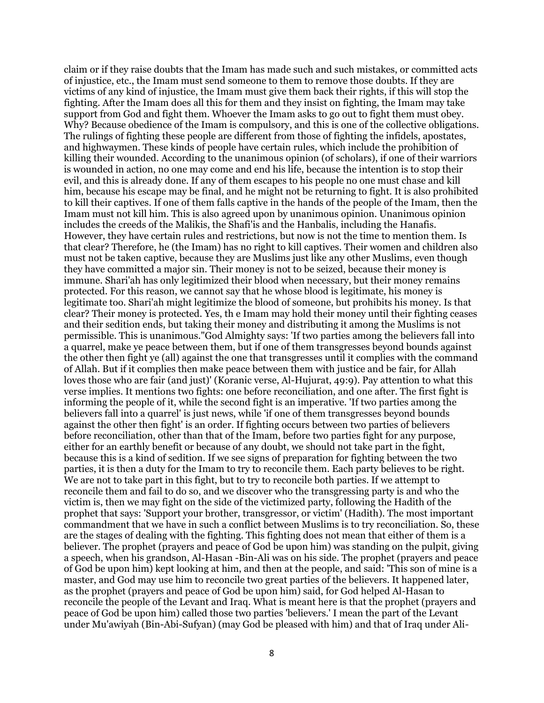claim or if they raise doubts that the Imam has made such and such mistakes, or committed acts of injustice, etc., the Imam must send someone to them to remove those doubts. If they are victims of any kind of injustice, the Imam must give them back their rights, if this will stop the fighting. After the Imam does all this for them and they insist on fighting, the Imam may take support from God and fight them. Whoever the Imam asks to go out to fight them must obey. Why? Because obedience of the Imam is compulsory, and this is one of the collective obligations. The rulings of fighting these people are different from those of fighting the infidels, apostates, and highwaymen. These kinds of people have certain rules, which include the prohibition of killing their wounded. According to the unanimous opinion (of scholars), if one of their warriors is wounded in action, no one may come and end his life, because the intention is to stop their evil, and this is already done. If any of them escapes to his people no one must chase and kill him, because his escape may be final, and he might not be returning to fight. It is also prohibited to kill their captives. If one of them falls captive in the hands of the people of the Imam, then the Imam must not kill him. This is also agreed upon by unanimous opinion. Unanimous opinion includes the creeds of the Malikis, the Shafi'is and the Hanbalis, including the Hanafis. However, they have certain rules and restrictions, but now is not the time to mention them. Is that clear? Therefore, he (the Imam) has no right to kill captives. Their women and children also must not be taken captive, because they are Muslims just like any other Muslims, even though they have committed a major sin. Their money is not to be seized, because their money is immune. Shari'ah has only legitimized their blood when necessary, but their money remains protected. For this reason, we cannot say that he whose blood is legitimate, his money is legitimate too. Shari'ah might legitimize the blood of someone, but prohibits his money. Is that clear? Their money is protected. Yes, th e Imam may hold their money until their fighting ceases and their sedition ends, but taking their money and distributing it among the Muslims is not permissible. This is unanimous."God Almighty says: 'If two parties among the believers fall into a quarrel, make ye peace between them, but if one of them transgresses beyond bounds against the other then fight ye (all) against the one that transgresses until it complies with the command of Allah. But if it complies then make peace between them with justice and be fair, for Allah loves those who are fair (and just)' (Koranic verse, Al-Hujurat, 49:9). Pay attention to what this verse implies. It mentions two fights: one before reconciliation, and one after. The first fight is informing the people of it, while the second fight is an imperative. 'If two parties among the believers fall into a quarrel' is just news, while 'if one of them transgresses beyond bounds against the other then fight' is an order. If fighting occurs between two parties of believers before reconciliation, other than that of the Imam, before two parties fight for any purpose, either for an earthly benefit or because of any doubt, we should not take part in the fight, because this is a kind of sedition. If we see signs of preparation for fighting between the two parties, it is then a duty for the Imam to try to reconcile them. Each party believes to be right. We are not to take part in this fight, but to try to reconcile both parties. If we attempt to reconcile them and fail to do so, and we discover who the transgressing party is and who the victim is, then we may fight on the side of the victimized party, following the Hadith of the prophet that says: 'Support your brother, transgressor, or victim' (Hadith). The most important commandment that we have in such a conflict between Muslims is to try reconciliation. So, these are the stages of dealing with the fighting. This fighting does not mean that either of them is a believer. The prophet (prayers and peace of God be upon him) was standing on the pulpit, giving a speech, when his grandson, Al-Hasan -Bin-Ali was on his side. The prophet (prayers and peace of God be upon him) kept looking at him, and then at the people, and said: 'This son of mine is a master, and God may use him to reconcile two great parties of the believers. It happened later, as the prophet (prayers and peace of God be upon him) said, for God helped Al-Hasan to reconcile the people of the Levant and Iraq. What is meant here is that the prophet (prayers and peace of God be upon him) called those two parties 'believers.' I mean the part of the Levant under Mu'awiyah (Bin-Abi-Sufyan) (may God be pleased with him) and that of Iraq under Ali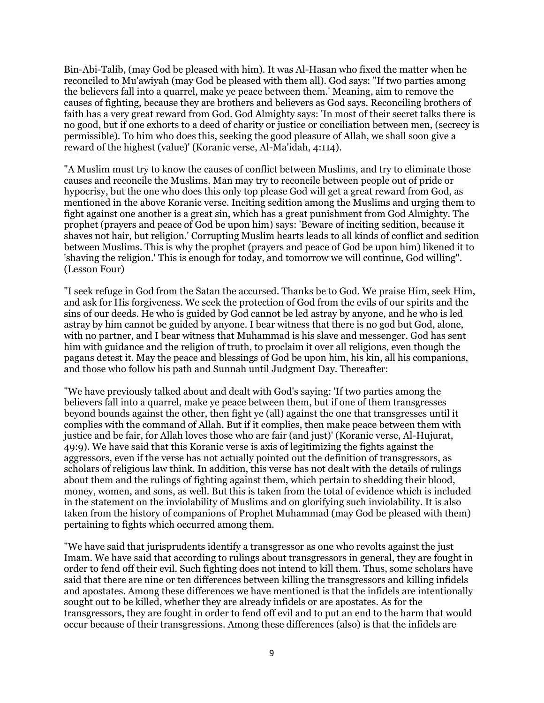Bin-Abi-Talib, (may God be pleased with him). It was Al-Hasan who fixed the matter when he reconciled to Mu'awiyah (may God be pleased with them all). God says: "If two parties among the believers fall into a quarrel, make ye peace between them.' Meaning, aim to remove the causes of fighting, because they are brothers and believers as God says. Reconciling brothers of faith has a very great reward from God. God Almighty says: 'In most of their secret talks there is no good, but if one exhorts to a deed of charity or justice or conciliation between men, (secrecy is permissible). To him who does this, seeking the good pleasure of Allah, we shall soon give a reward of the highest (value)' (Koranic verse, Al-Ma'idah, 4:114).

"A Muslim must try to know the causes of conflict between Muslims, and try to eliminate those causes and reconcile the Muslims. Man may try to reconcile between people out of pride or hypocrisy, but the one who does this only top please God will get a great reward from God, as mentioned in the above Koranic verse. Inciting sedition among the Muslims and urging them to fight against one another is a great sin, which has a great punishment from God Almighty. The prophet (prayers and peace of God be upon him) says: 'Beware of inciting sedition, because it shaves not hair, but religion.' Corrupting Muslim hearts leads to all kinds of conflict and sedition between Muslims. This is why the prophet (prayers and peace of God be upon him) likened it to 'shaving the religion.' This is enough for today, and tomorrow we will continue, God willing". (Lesson Four)

"I seek refuge in God from the Satan the accursed. Thanks be to God. We praise Him, seek Him, and ask for His forgiveness. We seek the protection of God from the evils of our spirits and the sins of our deeds. He who is guided by God cannot be led astray by anyone, and he who is led astray by him cannot be guided by anyone. I bear witness that there is no god but God, alone, with no partner, and I bear witness that Muhammad is his slave and messenger. God has sent him with guidance and the religion of truth, to proclaim it over all religions, even though the pagans detest it. May the peace and blessings of God be upon him, his kin, all his companions, and those who follow his path and Sunnah until Judgment Day. Thereafter:

"We have previously talked about and dealt with God's saying: 'If two parties among the believers fall into a quarrel, make ye peace between them, but if one of them transgresses beyond bounds against the other, then fight ye (all) against the one that transgresses until it complies with the command of Allah. But if it complies, then make peace between them with justice and be fair, for Allah loves those who are fair (and just)' (Koranic verse, Al-Hujurat, 49:9). We have said that this Koranic verse is axis of legitimizing the fights against the aggressors, even if the verse has not actually pointed out the definition of transgressors, as scholars of religious law think. In addition, this verse has not dealt with the details of rulings about them and the rulings of fighting against them, which pertain to shedding their blood, money, women, and sons, as well. But this is taken from the total of evidence which is included in the statement on the inviolability of Muslims and on glorifying such inviolability. It is also taken from the history of companions of Prophet Muhammad (may God be pleased with them) pertaining to fights which occurred among them.

"We have said that jurisprudents identify a transgressor as one who revolts against the just Imam. We have said that according to rulings about transgressors in general, they are fought in order to fend off their evil. Such fighting does not intend to kill them. Thus, some scholars have said that there are nine or ten differences between killing the transgressors and killing infidels and apostates. Among these differences we have mentioned is that the infidels are intentionally sought out to be killed, whether they are already infidels or are apostates. As for the transgressors, they are fought in order to fend off evil and to put an end to the harm that would occur because of their transgressions. Among these differences (also) is that the infidels are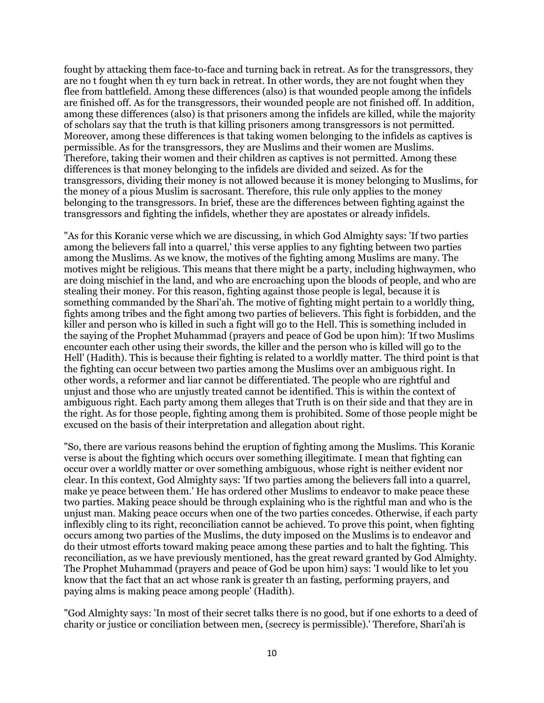fought by attacking them face-to-face and turning back in retreat. As for the transgressors, they are no t fought when th ey turn back in retreat. In other words, they are not fought when they flee from battlefield. Among these differences (also) is that wounded people among the infidels are finished off. As for the transgressors, their wounded people are not finished off. In addition, among these differences (also) is that prisoners among the infidels are killed, while the majority of scholars say that the truth is that killing prisoners among transgressors is not permitted. Moreover, among these differences is that taking women belonging to the infidels as captives is permissible. As for the transgressors, they are Muslims and their women are Muslims. Therefore, taking their women and their children as captives is not permitted. Among these differences is that money belonging to the infidels are divided and seized. As for the transgressors, dividing their money is not allowed because it is money belonging to Muslims, for the money of a pious Muslim is sacrosant. Therefore, this rule only applies to the money belonging to the transgressors. In brief, these are the differences between fighting against the transgressors and fighting the infidels, whether they are apostates or already infidels.

"As for this Koranic verse which we are discussing, in which God Almighty says: 'If two parties among the believers fall into a quarrel,' this verse applies to any fighting between two parties among the Muslims. As we know, the motives of the fighting among Muslims are many. The motives might be religious. This means that there might be a party, including highwaymen, who are doing mischief in the land, and who are encroaching upon the bloods of people, and who are stealing their money. For this reason, fighting against those people is legal, because it is something commanded by the Shari'ah. The motive of fighting might pertain to a worldly thing, fights among tribes and the fight among two parties of believers. This fight is forbidden, and the killer and person who is killed in such a fight will go to the Hell. This is something included in the saying of the Prophet Muhammad (prayers and peace of God be upon him): 'If two Muslims encounter each other using their swords, the killer and the person who is killed will go to the Hell' (Hadith). This is because their fighting is related to a worldly matter. The third point is that the fighting can occur between two parties among the Muslims over an ambiguous right. In other words, a reformer and liar cannot be differentiated. The people who are rightful and unjust and those who are unjustly treated cannot be identified. This is within the context of ambiguous right. Each party among them alleges that Truth is on their side and that they are in the right. As for those people, fighting among them is prohibited. Some of those people might be excused on the basis of their interpretation and allegation about right.

"So, there are various reasons behind the eruption of fighting among the Muslims. This Koranic verse is about the fighting which occurs over something illegitimate. I mean that fighting can occur over a worldly matter or over something ambiguous, whose right is neither evident nor clear. In this context, God Almighty says: 'If two parties among the believers fall into a quarrel, make ye peace between them.' He has ordered other Muslims to endeavor to make peace these two parties. Making peace should be through explaining who is the rightful man and who is the unjust man. Making peace occurs when one of the two parties concedes. Otherwise, if each party inflexibly cling to its right, reconciliation cannot be achieved. To prove this point, when fighting occurs among two parties of the Muslims, the duty imposed on the Muslims is to endeavor and do their utmost efforts toward making peace among these parties and to halt the fighting. This reconciliation, as we have previously mentioned, has the great reward granted by God Almighty. The Prophet Muhammad (prayers and peace of God be upon him) says: 'I would like to let you know that the fact that an act whose rank is greater th an fasting, performing prayers, and paying alms is making peace among people' (Hadith).

"God Almighty says: 'In most of their secret talks there is no good, but if one exhorts to a deed of charity or justice or conciliation between men, (secrecy is permissible).' Therefore, Shari'ah is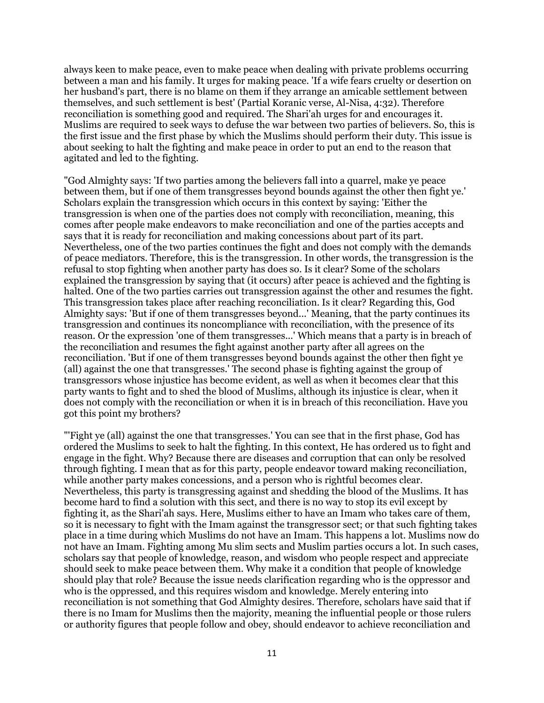always keen to make peace, even to make peace when dealing with private problems occurring between a man and his family. It urges for making peace. 'If a wife fears cruelty or desertion on her husband's part, there is no blame on them if they arrange an amicable settlement between themselves, and such settlement is best' (Partial Koranic verse, Al-Nisa, 4:32). Therefore reconciliation is something good and required. The Shari'ah urges for and encourages it. Muslims are required to seek ways to defuse the war between two parties of believers. So, this is the first issue and the first phase by which the Muslims should perform their duty. This issue is about seeking to halt the fighting and make peace in order to put an end to the reason that agitated and led to the fighting.

"God Almighty says: 'If two parties among the believers fall into a quarrel, make ye peace between them, but if one of them transgresses beyond bounds against the other then fight ye.' Scholars explain the transgression which occurs in this context by saying: 'Either the transgression is when one of the parties does not comply with reconciliation, meaning, this comes after people make endeavors to make reconciliation and one of the parties accepts and says that it is ready for reconciliation and making concessions about part of its part. Nevertheless, one of the two parties continues the fight and does not comply with the demands of peace mediators. Therefore, this is the transgression. In other words, the transgression is the refusal to stop fighting when another party has does so. Is it clear? Some of the scholars explained the transgression by saying that (it occurs) after peace is achieved and the fighting is halted. One of the two parties carries out transgression against the other and resumes the fight. This transgression takes place after reaching reconciliation. Is it clear? Regarding this, God Almighty says: 'But if one of them transgresses beyond...' Meaning, that the party continues its transgression and continues its noncompliance with reconciliation, with the presence of its reason. Or the expression 'one of them transgresses...' Which means that a party is in breach of the reconciliation and resumes the fight against another party after all agrees on the reconciliation. 'But if one of them transgresses beyond bounds against the other then fight ye (all) against the one that transgresses.' The second phase is fighting against the group of transgressors whose injustice has become evident, as well as when it becomes clear that this party wants to fight and to shed the blood of Muslims, although its injustice is clear, when it does not comply with the reconciliation or when it is in breach of this reconciliation. Have you got this point my brothers?

"'Fight ye (all) against the one that transgresses.' You can see that in the first phase, God has ordered the Muslims to seek to halt the fighting. In this context, He has ordered us to fight and engage in the fight. Why? Because there are diseases and corruption that can only be resolved through fighting. I mean that as for this party, people endeavor toward making reconciliation, while another party makes concessions, and a person who is rightful becomes clear. Nevertheless, this party is transgressing against and shedding the blood of the Muslims. It has become hard to find a solution with this sect, and there is no way to stop its evil except by fighting it, as the Shari'ah says. Here, Muslims either to have an Imam who takes care of them, so it is necessary to fight with the Imam against the transgressor sect; or that such fighting takes place in a time during which Muslims do not have an Imam. This happens a lot. Muslims now do not have an Imam. Fighting among Mu slim sects and Muslim parties occurs a lot. In such cases, scholars say that people of knowledge, reason, and wisdom who people respect and appreciate should seek to make peace between them. Why make it a condition that people of knowledge should play that role? Because the issue needs clarification regarding who is the oppressor and who is the oppressed, and this requires wisdom and knowledge. Merely entering into reconciliation is not something that God Almighty desires. Therefore, scholars have said that if there is no Imam for Muslims then the majority, meaning the influential people or those rulers or authority figures that people follow and obey, should endeavor to achieve reconciliation and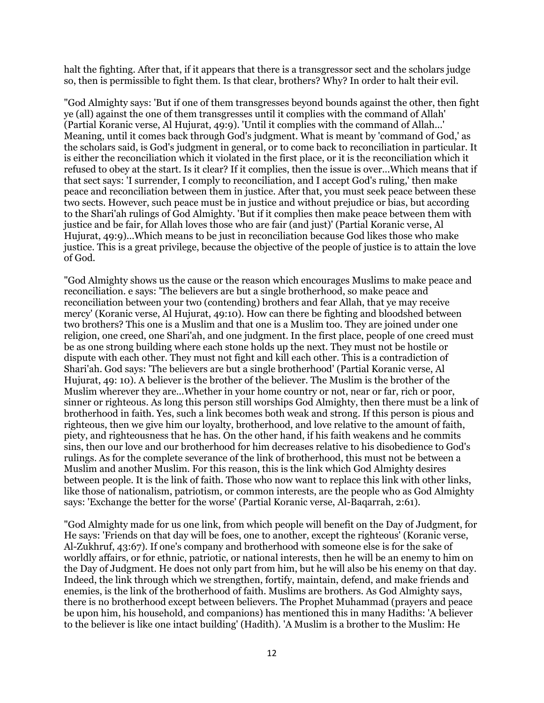halt the fighting. After that, if it appears that there is a transgressor sect and the scholars judge so, then is permissible to fight them. Is that clear, brothers? Why? In order to halt their evil.

"God Almighty says: 'But if one of them transgresses beyond bounds against the other, then fight ye (all) against the one of them transgresses until it complies with the command of Allah' (Partial Koranic verse, Al Hujurat, 49:9). 'Until it complies with the command of Allah...' Meaning, until it comes back through God's judgment. What is meant by 'command of God,' as the scholars said, is God's judgment in general, or to come back to reconciliation in particular. It is either the reconciliation which it violated in the first place, or it is the reconciliation which it refused to obey at the start. Is it clear? If it complies, then the issue is over...Which means that if that sect says: 'I surrender, I comply to reconciliation, and I accept God's ruling,' then make peace and reconciliation between them in justice. After that, you must seek peace between these two sects. However, such peace must be in justice and without prejudice or bias, but according to the Shari'ah rulings of God Almighty. 'But if it complies then make peace between them with justice and be fair, for Allah loves those who are fair (and just)' (Partial Koranic verse, Al Hujurat, 49:9)...Which means to be just in reconciliation because God likes those who make justice. This is a great privilege, because the objective of the people of justice is to attain the love of God.

"God Almighty shows us the cause or the reason which encourages Muslims to make peace and reconciliation. e says: 'The believers are but a single brotherhood, so make peace and reconciliation between your two (contending) brothers and fear Allah, that ye may receive mercy' (Koranic verse, Al Hujurat, 49:10). How can there be fighting and bloodshed between two brothers? This one is a Muslim and that one is a Muslim too. They are joined under one religion, one creed, one Shari'ah, and one judgment. In the first place, people of one creed must be as one strong building where each stone holds up the next. They must not be hostile or dispute with each other. They must not fight and kill each other. This is a contradiction of Shari'ah. God says: 'The believers are but a single brotherhood' (Partial Koranic verse, Al Hujurat, 49: 10). A believer is the brother of the believer. The Muslim is the brother of the Muslim wherever they are...Whether in your home country or not, near or far, rich or poor, sinner or righteous. As long this person still worships God Almighty, then there must be a link of brotherhood in faith. Yes, such a link becomes both weak and strong. If this person is pious and righteous, then we give him our loyalty, brotherhood, and love relative to the amount of faith, piety, and righteousness that he has. On the other hand, if his faith weakens and he commits sins, then our love and our brotherhood for him decreases relative to his disobedience to God's rulings. As for the complete severance of the link of brotherhood, this must not be between a Muslim and another Muslim. For this reason, this is the link which God Almighty desires between people. It is the link of faith. Those who now want to replace this link with other links, like those of nationalism, patriotism, or common interests, are the people who as God Almighty says: 'Exchange the better for the worse' (Partial Koranic verse, Al-Baqarrah, 2:61).

"God Almighty made for us one link, from which people will benefit on the Day of Judgment, for He says: 'Friends on that day will be foes, one to another, except the righteous' (Koranic verse, Al-Zukhruf, 43:67). If one's company and brotherhood with someone else is for the sake of worldly affairs, or for ethnic, patriotic, or national interests, then he will be an enemy to him on the Day of Judgment. He does not only part from him, but he will also be his enemy on that day. Indeed, the link through which we strengthen, fortify, maintain, defend, and make friends and enemies, is the link of the brotherhood of faith. Muslims are brothers. As God Almighty says, there is no brotherhood except between believers. The Prophet Muhammad (prayers and peace be upon him, his household, and companions) has mentioned this in many Hadiths: 'A believer to the believer is like one intact building' (Hadith). 'A Muslim is a brother to the Muslim: He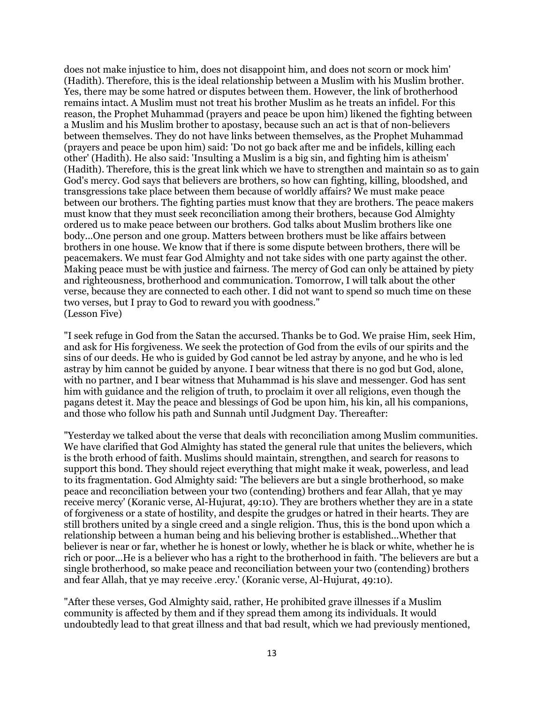does not make injustice to him, does not disappoint him, and does not scorn or mock him' (Hadith). Therefore, this is the ideal relationship between a Muslim with his Muslim brother. Yes, there may be some hatred or disputes between them. However, the link of brotherhood remains intact. A Muslim must not treat his brother Muslim as he treats an infidel. For this reason, the Prophet Muhammad (prayers and peace be upon him) likened the fighting between a Muslim and his Muslim brother to apostasy, because such an act is that of non-believers between themselves. They do not have links between themselves, as the Prophet Muhammad (prayers and peace be upon him) said: 'Do not go back after me and be infidels, killing each other' (Hadith). He also said: 'Insulting a Muslim is a big sin, and fighting him is atheism' (Hadith). Therefore, this is the great link which we have to strengthen and maintain so as to gain God's mercy. God says that believers are brothers, so how can fighting, killing, bloodshed, and transgressions take place between them because of worldly affairs? We must make peace between our brothers. The fighting parties must know that they are brothers. The peace makers must know that they must seek reconciliation among their brothers, because God Almighty ordered us to make peace between our brothers. God talks about Muslim brothers like one body...One person and one group. Matters between brothers must be like affairs between brothers in one house. We know that if there is some dispute between brothers, there will be peacemakers. We must fear God Almighty and not take sides with one party against the other. Making peace must be with justice and fairness. The mercy of God can only be attained by piety and righteousness, brotherhood and communication. Tomorrow, I will talk about the other verse, because they are connected to each other. I did not want to spend so much time on these two verses, but I pray to God to reward you with goodness." (Lesson Five)

"I seek refuge in God from the Satan the accursed. Thanks be to God. We praise Him, seek Him, and ask for His forgiveness. We seek the protection of God from the evils of our spirits and the sins of our deeds. He who is guided by God cannot be led astray by anyone, and he who is led astray by him cannot be guided by anyone. I bear witness that there is no god but God, alone, with no partner, and I bear witness that Muhammad is his slave and messenger. God has sent him with guidance and the religion of truth, to proclaim it over all religions, even though the pagans detest it. May the peace and blessings of God be upon him, his kin, all his companions, and those who follow his path and Sunnah until Judgment Day. Thereafter:

"Yesterday we talked about the verse that deals with reconciliation among Muslim communities. We have clarified that God Almighty has stated the general rule that unites the believers, which is the broth erhood of faith. Muslims should maintain, strengthen, and search for reasons to support this bond. They should reject everything that might make it weak, powerless, and lead to its fragmentation. God Almighty said: 'The believers are but a single brotherhood, so make peace and reconciliation between your two (contending) brothers and fear Allah, that ye may receive mercy' (Koranic verse, Al-Hujurat, 49:10). They are brothers whether they are in a state of forgiveness or a state of hostility, and despite the grudges or hatred in their hearts. They are still brothers united by a single creed and a single religion. Thus, this is the bond upon which a relationship between a human being and his believing brother is established...Whether that believer is near or far, whether he is honest or lowly, whether he is black or white, whether he is rich or poor...He is a believer who has a right to the brotherhood in faith. 'The believers are but a single brotherhood, so make peace and reconciliation between your two (contending) brothers and fear Allah, that ye may receive .ercy.' (Koranic verse, Al-Hujurat, 49:10).

"After these verses, God Almighty said, rather, He prohibited grave illnesses if a Muslim community is affected by them and if they spread them among its individuals. It would undoubtedly lead to that great illness and that bad result, which we had previously mentioned,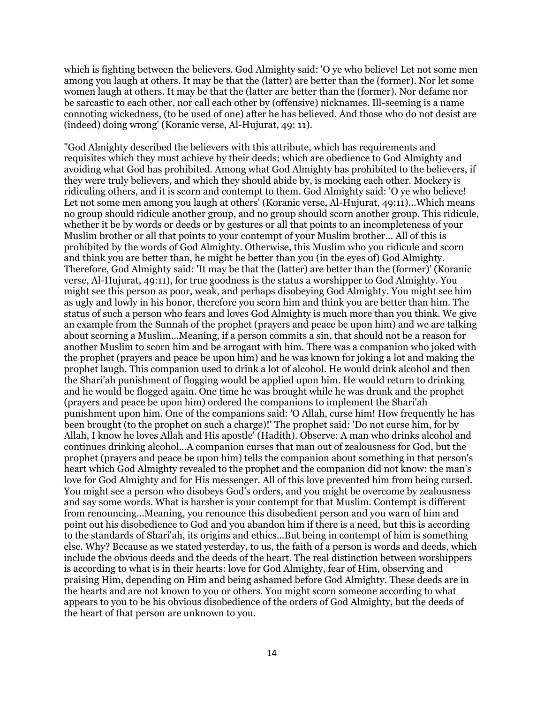which is fighting between the believers. God Almighty said: 'O ye who believe! Let not some men among you laugh at others. It may be that the (latter) are better than the (former). Nor let some women laugh at others. It may be that the (latter are better than the (former). Nor defame nor be sarcastic to each other, nor call each other by (offensive) nicknames. Ill-seeming is a name connoting wickedness, (to be used of one) after he has believed. And those who do not desist are (indeed) doing wrong' (Koranic verse, Al-Hujurat, 49: 11).

"God Almighty described the believers with this attribute, which has requirements and requisites which they must achieve by their deeds; which are obedience to God Almighty and avoiding what God has prohibited. Among what God Almighty has prohibited to the believers, if they were truly believers, and which they should abide by, is mocking each other. Mockery is ridiculing others, and it is scorn and contempt to them. God Almighty said: 'O ye who believe! Let not some men among you laugh at others' (Koranic verse, Al-Hujurat, 49:11)...Which means no group should ridicule another group, and no group should scorn another group. This ridicule, whether it be by words or deeds or by gestures or all that points to an incompleteness of your Muslim brother or all that points to your contempt of your Muslim brother... All of this is prohibited by the words of God Almighty. Otherwise, this Muslim who you ridicule and scorn and think you are better than, he might be better than you (in the eyes of) God Almighty. Therefore, God Almighty said: 'It may be that the (latter) are better than the (former)' (Koranic verse, Al-Hujurat, 49:11), for true goodness is the status a worshipper to God Almighty. You might see this person as poor, weak, and perhaps disobeying God Almighty. You might see him as ugly and lowly in his honor, therefore you scorn him and think you are better than him. The status of such a person who fears and loves God Almighty is much more than you think. We give an example from the Sunnah of the prophet (prayers and peace be upon him) and we are talking about scorning a Muslim...Meaning, if a person commits a sin, that should not be a reason for another Muslim to scorn him and be arrogant with him. There was a companion who joked with the prophet (prayers and peace be upon him) and he was known for joking a lot and making the prophet laugh. This companion used to drink a lot of alcohol. He would drink alcohol and then the Shari'ah punishment of flogging would be applied upon him. He would return to drinking and he would be flogged again. One time he was brought while he was drunk and the prophet (prayers and peace be upon him) ordered the companions to implement the Shari'ah punishment upon him. One of the companions said: 'O Allah, curse him! How frequently he has been brought (to the prophet on such a charge)!' The prophet said: 'Do not curse him, for by Allah, I know he loves Allah and His apostle' (Hadith). Observe: A man who drinks alcohol and continues drinking alcohol...A companion curses that man out of zealousness for God, but the prophet (prayers and peace be upon him) tells the companion about something in that person's heart which God Almighty revealed to the prophet and the companion did not know: the man's love for God Almighty and for His messenger. All of this love prevented him from being cursed. You might see a person who disobeys God's orders, and you might be overcome by zealousness and say some words. What is harsher is your contempt for that Muslim. Contempt is different from renouncing...Meaning, you renounce this disobedient person and you warn of him and point out his disobedience to God and you abandon him if there is a need, but this is according to the standards of Shari'ah, its origins and ethics...But being in contempt of him is something else. Why? Because as we stated yesterday, to us, the faith of a person is words and deeds, which include the obvious deeds and the deeds of the heart. The real distinction between worshippers is according to what is in their hearts: love for God Almighty, fear of Him, observing and praising Him, depending on Him and being ashamed before God Almighty. These deeds are in the hearts and are not known to you or others. You might scorn someone according to what appears to you to be his obvious disobedience of the orders of God Almighty, but the deeds of the heart of that person are unknown to you.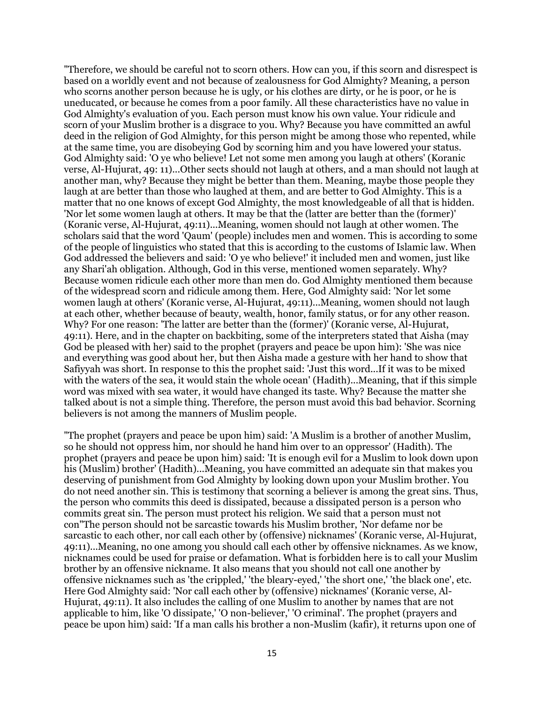"Therefore, we should be careful not to scorn others. How can you, if this scorn and disrespect is based on a worldly event and not because of zealousness for God Almighty? Meaning, a person who scorns another person because he is ugly, or his clothes are dirty, or he is poor, or he is uneducated, or because he comes from a poor family. All these characteristics have no value in God Almighty's evaluation of you. Each person must know his own value. Your ridicule and scorn of your Muslim brother is a disgrace to you. Why? Because you have committed an awful deed in the religion of God Almighty, for this person might be among those who repented, while at the same time, you are disobeying God by scorning him and you have lowered your status. God Almighty said: 'O ye who believe! Let not some men among you laugh at others' (Koranic verse, Al-Hujurat, 49: 11)...Other sects should not laugh at others, and a man should not laugh at another man, why? Because they might be better than them. Meaning, maybe those people they laugh at are better than those who laughed at them, and are better to God Almighty. This is a matter that no one knows of except God Almighty, the most knowledgeable of all that is hidden. 'Nor let some women laugh at others. It may be that the (latter are better than the (former)' (Koranic verse, Al-Hujurat, 49:11)...Meaning, women should not laugh at other women. The scholars said that the word 'Qaum' (people) includes men and women. This is according to some of the people of linguistics who stated that this is according to the customs of Islamic law. When God addressed the believers and said: 'O ye who believe!' it included men and women, just like any Shari'ah obligation. Although, God in this verse, mentioned women separately. Why? Because women ridicule each other more than men do. God Almighty mentioned them because of the widespread scorn and ridicule among them. Here, God Almighty said: 'Nor let some women laugh at others' (Koranic verse, Al-Hujurat, 49:11)...Meaning, women should not laugh at each other, whether because of beauty, wealth, honor, family status, or for any other reason. Why? For one reason: 'The latter are better than the (former)' (Koranic verse, Al-Hujurat, 49:11). Here, and in the chapter on backbiting, some of the interpreters stated that Aisha (may God be pleased with her) said to the prophet (prayers and peace be upon him): 'She was nice and everything was good about her, but then Aisha made a gesture with her hand to show that Safiyyah was short. In response to this the prophet said: 'Just this word...If it was to be mixed with the waters of the sea, it would stain the whole ocean' (Hadith)...Meaning, that if this simple word was mixed with sea water, it would have changed its taste. Why? Because the matter she talked about is not a simple thing. Therefore, the person must avoid this bad behavior. Scorning believers is not among the manners of Muslim people.

"The prophet (prayers and peace be upon him) said: 'A Muslim is a brother of another Muslim, so he should not oppress him, nor should he hand him over to an oppressor' (Hadith). The prophet (prayers and peace be upon him) said: 'It is enough evil for a Muslim to look down upon his (Muslim) brother' (Hadith)...Meaning, you have committed an adequate sin that makes you deserving of punishment from God Almighty by looking down upon your Muslim brother. You do not need another sin. This is testimony that scorning a believer is among the great sins. Thus, the person who commits this deed is dissipated, because a dissipated person is a person who commits great sin. The person must protect his religion. We said that a person must not con"The person should not be sarcastic towards his Muslim brother, 'Nor defame nor be sarcastic to each other, nor call each other by (offensive) nicknames' (Koranic verse, Al-Hujurat, 49:11)...Meaning, no one among you should call each other by offensive nicknames. As we know, nicknames could be used for praise or defamation. What is forbidden here is to call your Muslim brother by an offensive nickname. It also means that you should not call one another by offensive nicknames such as 'the crippled,' 'the bleary-eyed,' 'the short one,' 'the black one', etc. Here God Almighty said: 'Nor call each other by (offensive) nicknames' (Koranic verse, Al-Hujurat, 49:11). It also includes the calling of one Muslim to another by names that are not applicable to him, like 'O dissipate,' 'O non-believer,' 'O criminal'. The prophet (prayers and peace be upon him) said: 'If a man calls his brother a non-Muslim (kafir), it returns upon one of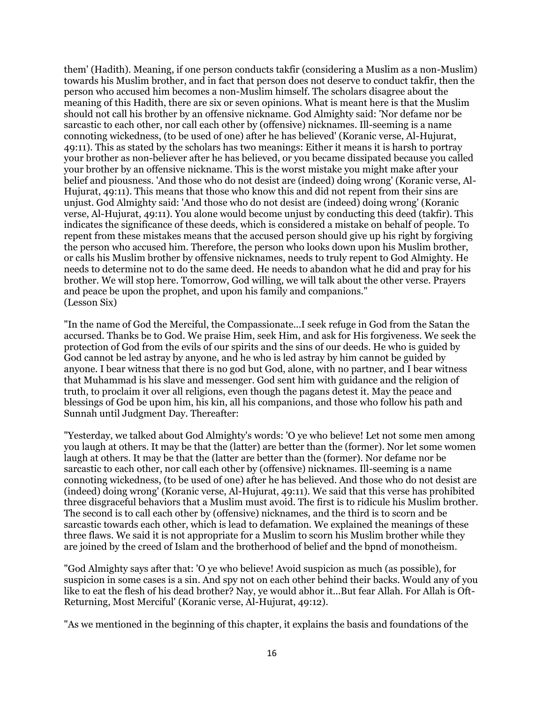them' (Hadith). Meaning, if one person conducts takfir (considering a Muslim as a non-Muslim) towards his Muslim brother, and in fact that person does not deserve to conduct takfir, then the person who accused him becomes a non-Muslim himself. The scholars disagree about the meaning of this Hadith, there are six or seven opinions. What is meant here is that the Muslim should not call his brother by an offensive nickname. God Almighty said: 'Nor defame nor be sarcastic to each other, nor call each other by (offensive) nicknames. Ill-seeming is a name connoting wickedness, (to be used of one) after he has believed' (Koranic verse, Al-Hujurat, 49:11). This as stated by the scholars has two meanings: Either it means it is harsh to portray your brother as non-believer after he has believed, or you became dissipated because you called your brother by an offensive nickname. This is the worst mistake you might make after your belief and piousness. 'And those who do not desist are (indeed) doing wrong' (Koranic verse, Al-Hujurat, 49:11). This means that those who know this and did not repent from their sins are unjust. God Almighty said: 'And those who do not desist are (indeed) doing wrong' (Koranic verse, Al-Hujurat, 49:11). You alone would become unjust by conducting this deed (takfir). This indicates the significance of these deeds, which is considered a mistake on behalf of people. To repent from these mistakes means that the accused person should give up his right by forgiving the person who accused him. Therefore, the person who looks down upon his Muslim brother, or calls his Muslim brother by offensive nicknames, needs to truly repent to God Almighty. He needs to determine not to do the same deed. He needs to abandon what he did and pray for his brother. We will stop here. Tomorrow, God willing, we will talk about the other verse. Prayers and peace be upon the prophet, and upon his family and companions." (Lesson Six)

"In the name of God the Merciful, the Compassionate...I seek refuge in God from the Satan the accursed. Thanks be to God. We praise Him, seek Him, and ask for His forgiveness. We seek the protection of God from the evils of our spirits and the sins of our deeds. He who is guided by God cannot be led astray by anyone, and he who is led astray by him cannot be guided by anyone. I bear witness that there is no god but God, alone, with no partner, and I bear witness that Muhammad is his slave and messenger. God sent him with guidance and the religion of truth, to proclaim it over all religions, even though the pagans detest it. May the peace and blessings of God be upon him, his kin, all his companions, and those who follow his path and Sunnah until Judgment Day. Thereafter:

"Yesterday, we talked about God Almighty's words: 'O ye who believe! Let not some men among you laugh at others. It may be that the (latter) are better than the (former). Nor let some women laugh at others. It may be that the (latter are better than the (former). Nor defame nor be sarcastic to each other, nor call each other by (offensive) nicknames. Ill-seeming is a name connoting wickedness, (to be used of one) after he has believed. And those who do not desist are (indeed) doing wrong' (Koranic verse, Al-Hujurat, 49:11). We said that this verse has prohibited three disgraceful behaviors that a Muslim must avoid. The first is to ridicule his Muslim brother. The second is to call each other by (offensive) nicknames, and the third is to scorn and be sarcastic towards each other, which is lead to defamation. We explained the meanings of these three flaws. We said it is not appropriate for a Muslim to scorn his Muslim brother while they are joined by the creed of Islam and the brotherhood of belief and the bpnd of monotheism.

"God Almighty says after that: 'O ye who believe! Avoid suspicion as much (as possible), for suspicion in some cases is a sin. And spy not on each other behind their backs. Would any of you like to eat the flesh of his dead brother? Nay, ye would abhor it...But fear Allah. For Allah is Oft-Returning, Most Merciful' (Koranic verse, Al-Hujurat, 49:12).

"As we mentioned in the beginning of this chapter, it explains the basis and foundations of the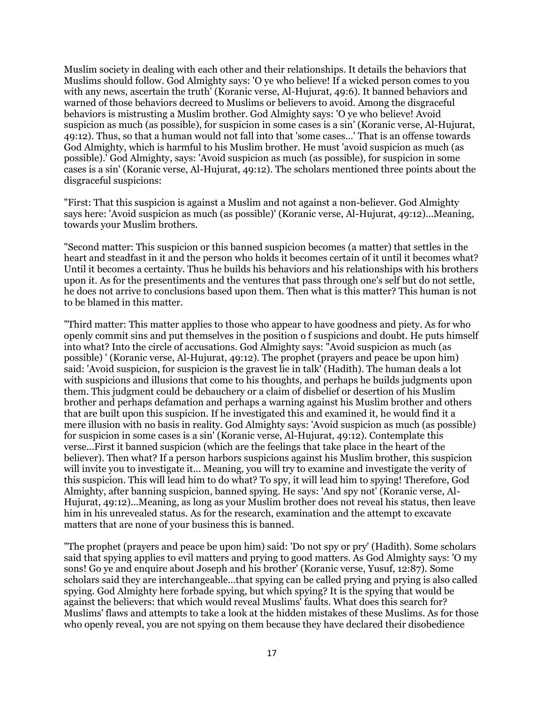Muslim society in dealing with each other and their relationships. It details the behaviors that Muslims should follow. God Almighty says: 'O ye who believe! If a wicked person comes to you with any news, ascertain the truth' (Koranic verse, Al-Hujurat, 49:6). It banned behaviors and warned of those behaviors decreed to Muslims or believers to avoid. Among the disgraceful behaviors is mistrusting a Muslim brother. God Almighty says: 'O ye who believe! Avoid suspicion as much (as possible), for suspicion in some cases is a sin' (Koranic verse, Al-Hujurat, 49:12). Thus, so that a human would not fall into that 'some cases...' That is an offense towards God Almighty, which is harmful to his Muslim brother. He must 'avoid suspicion as much (as possible).' God Almighty, says: 'Avoid suspicion as much (as possible), for suspicion in some cases is a sin' (Koranic verse, Al-Hujurat, 49:12). The scholars mentioned three points about the disgraceful suspicions:

"First: That this suspicion is against a Muslim and not against a non-believer. God Almighty says here: 'Avoid suspicion as much (as possible)' (Koranic verse, Al-Hujurat, 49:12)...Meaning, towards your Muslim brothers.

"Second matter: This suspicion or this banned suspicion becomes (a matter) that settles in the heart and steadfast in it and the person who holds it becomes certain of it until it becomes what? Until it becomes a certainty. Thus he builds his behaviors and his relationships with his brothers upon it. As for the presentiments and the ventures that pass through one's self but do not settle, he does not arrive to conclusions based upon them. Then what is this matter? This human is not to be blamed in this matter.

"Third matter: This matter applies to those who appear to have goodness and piety. As for who openly commit sins and put themselves in the position o f suspicions and doubt. He puts himself into what? Into the circle of accusations. God Almighty says: "Avoid suspicion as much (as possible) ' (Koranic verse, Al-Hujurat, 49:12). The prophet (prayers and peace be upon him) said: 'Avoid suspicion, for suspicion is the gravest lie in talk' (Hadith). The human deals a lot with suspicions and illusions that come to his thoughts, and perhaps he builds judgments upon them. This judgment could be debauchery or a claim of disbelief or desertion of his Muslim brother and perhaps defamation and perhaps a warning against his Muslim brother and others that are built upon this suspicion. If he investigated this and examined it, he would find it a mere illusion with no basis in reality. God Almighty says: 'Avoid suspicion as much (as possible) for suspicion in some cases is a sin' (Koranic verse, Al-Hujurat, 49:12). Contemplate this verse...First it banned suspicion (which are the feelings that take place in the heart of the believer). Then what? If a person harbors suspicions against his Muslim brother, this suspicion will invite you to investigate it... Meaning, you will try to examine and investigate the verity of this suspicion. This will lead him to do what? To spy, it will lead him to spying! Therefore, God Almighty, after banning suspicion, banned spying. He says: 'And spy not' (Koranic verse, Al-Hujurat, 49:12)...Meaning, as long as your Muslim brother does not reveal his status, then leave him in his unrevealed status. As for the research, examination and the attempt to excavate matters that are none of your business this is banned.

"The prophet (prayers and peace be upon him) said: 'Do not spy or pry' (Hadith). Some scholars said that spying applies to evil matters and prying to good matters. As God Almighty says: 'O my sons! Go ye and enquire about Joseph and his brother' (Koranic verse, Yusuf, 12:87). Some scholars said they are interchangeable...that spying can be called prying and prying is also called spying. God Almighty here forbade spying, but which spying? It is the spying that would be against the believers: that which would reveal Muslims' faults. What does this search for? Muslims' flaws and attempts to take a look at the hidden mistakes of these Muslims. As for those who openly reveal, you are not spying on them because they have declared their disobedience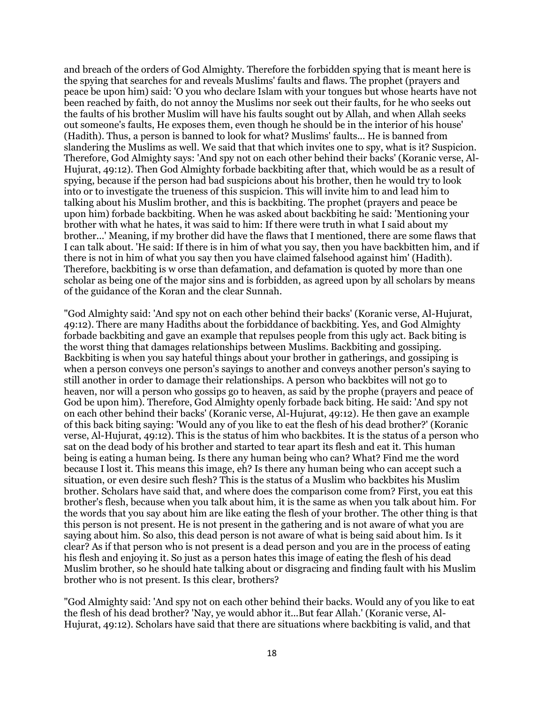and breach of the orders of God Almighty. Therefore the forbidden spying that is meant here is the spying that searches for and reveals Muslims' faults and flaws. The prophet (prayers and peace be upon him) said: 'O you who declare Islam with your tongues but whose hearts have not been reached by faith, do not annoy the Muslims nor seek out their faults, for he who seeks out the faults of his brother Muslim will have his faults sought out by Allah, and when Allah seeks out someone's faults, He exposes them, even though he should be in the interior of his house' (Hadith). Thus, a person is banned to look for what? Muslims' faults... He is banned from slandering the Muslims as well. We said that that which invites one to spy, what is it? Suspicion. Therefore, God Almighty says: 'And spy not on each other behind their backs' (Koranic verse, Al-Hujurat, 49:12). Then God Almighty forbade backbiting after that, which would be as a result of spying, because if the person had bad suspicions about his brother, then he would try to look into or to investigate the trueness of this suspicion. This will invite him to and lead him to talking about his Muslim brother, and this is backbiting. The prophet (prayers and peace be upon him) forbade backbiting. When he was asked about backbiting he said: 'Mentioning your brother with what he hates, it was said to him: If there were truth in what I said about my brother...' Meaning, if my brother did have the flaws that I mentioned, there are some flaws that I can talk about. 'He said: If there is in him of what you say, then you have backbitten him, and if there is not in him of what you say then you have claimed falsehood against him' (Hadith). Therefore, backbiting is w orse than defamation, and defamation is quoted by more than one scholar as being one of the major sins and is forbidden, as agreed upon by all scholars by means of the guidance of the Koran and the clear Sunnah.

"God Almighty said: 'And spy not on each other behind their backs' (Koranic verse, Al-Hujurat, 49:12). There are many Hadiths about the forbiddance of backbiting. Yes, and God Almighty forbade backbiting and gave an example that repulses people from this ugly act. Back biting is the worst thing that damages relationships between Muslims. Backbiting and gossiping. Backbiting is when you say hateful things about your brother in gatherings, and gossiping is when a person conveys one person's sayings to another and conveys another person's saying to still another in order to damage their relationships. A person who backbites will not go to heaven, nor will a person who gossips go to heaven, as said by the prophe (prayers and peace of God be upon him). Therefore, God Almighty openly forbade back biting. He said: 'And spy not on each other behind their backs' (Koranic verse, Al-Hujurat, 49:12). He then gave an example of this back biting saying: 'Would any of you like to eat the flesh of his dead brother?' (Koranic verse, Al-Hujurat, 49:12). This is the status of him who backbites. It is the status of a person who sat on the dead body of his brother and started to tear apart its flesh and eat it. This human being is eating a human being. Is there any human being who can? What? Find me the word because I lost it. This means this image, eh? Is there any human being who can accept such a situation, or even desire such flesh? This is the status of a Muslim who backbites his Muslim brother. Scholars have said that, and where does the comparison come from? First, you eat this brother's flesh, because when you talk about him, it is the same as when you talk about him. For the words that you say about him are like eating the flesh of your brother. The other thing is that this person is not present. He is not present in the gathering and is not aware of what you are saying about him. So also, this dead person is not aware of what is being said about him. Is it clear? As if that person who is not present is a dead person and you are in the process of eating his flesh and enjoying it. So just as a person hates this image of eating the flesh of his dead Muslim brother, so he should hate talking about or disgracing and finding fault with his Muslim brother who is not present. Is this clear, brothers?

"God Almighty said: 'And spy not on each other behind their backs. Would any of you like to eat the flesh of his dead brother? 'Nay, ye would abhor it...But fear Allah.' (Koranic verse, Al-Hujurat, 49:12). Scholars have said that there are situations where backbiting is valid, and that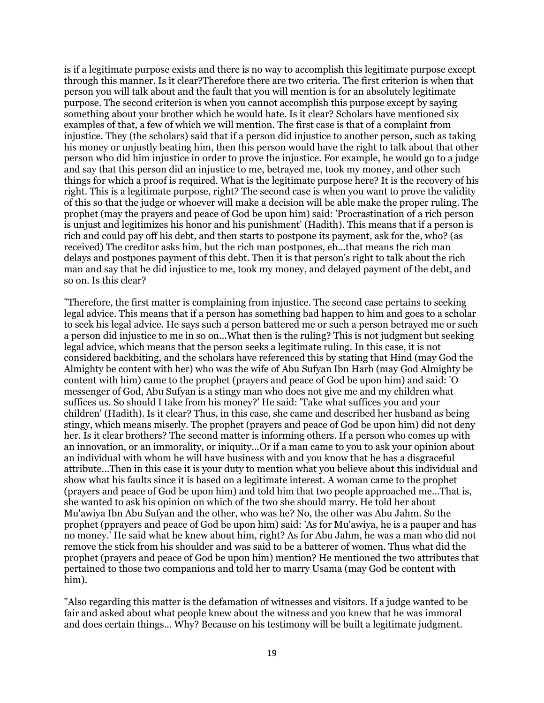is if a legitimate purpose exists and there is no way to accomplish this legitimate purpose except through this manner. Is it clear?Therefore there are two criteria. The first criterion is when that person you will talk about and the fault that you will mention is for an absolutely legitimate purpose. The second criterion is when you cannot accomplish this purpose except by saying something about your brother which he would hate. Is it clear? Scholars have mentioned six examples of that, a few of which we will mention. The first case is that of a complaint from injustice. They (the scholars) said that if a person did injustice to another person, such as taking his money or unjustly beating him, then this person would have the right to talk about that other person who did him injustice in order to prove the injustice. For example, he would go to a judge and say that this person did an injustice to me, betrayed me, took my money, and other such things for which a proof is required. What is the legitimate purpose here? It is the recovery of his right. This is a legitimate purpose, right? The second case is when you want to prove the validity of this so that the judge or whoever will make a decision will be able make the proper ruling. The prophet (may the prayers and peace of God be upon him) said: 'Procrastination of a rich person is unjust and legitimizes his honor and his punishment' (Hadith). This means that if a person is rich and could pay off his debt, and then starts to postpone its payment, ask for the, who? (as received) The creditor asks him, but the rich man postpones, eh...that means the rich man delays and postpones payment of this debt. Then it is that person's right to talk about the rich man and say that he did injustice to me, took my money, and delayed payment of the debt, and so on. Is this clear?

"Therefore, the first matter is complaining from injustice. The second case pertains to seeking legal advice. This means that if a person has something bad happen to him and goes to a scholar to seek his legal advice. He says such a person battered me or such a person betrayed me or such a person did injustice to me in so on...What then is the ruling? This is not judgment but seeking legal advice, which means that the person seeks a legitimate ruling. In this case, it is not considered backbiting, and the scholars have referenced this by stating that Hind (may God the Almighty be content with her) who was the wife of Abu Sufyan Ibn Harb (may God Almighty be content with him) came to the prophet (prayers and peace of God be upon him) and said: 'O messenger of God, Abu Sufyan is a stingy man who does not give me and my children what suffices us. So should I take from his money?' He said: 'Take what suffices you and your children' (Hadith). Is it clear? Thus, in this case, she came and described her husband as being stingy, which means miserly. The prophet (prayers and peace of God be upon him) did not deny her. Is it clear brothers? The second matter is informing others. If a person who comes up with an innovation, or an immorality, or iniquity...Or if a man came to you to ask your opinion about an individual with whom he will have business with and you know that he has a disgraceful attribute...Then in this case it is your duty to mention what you believe about this individual and show what his faults since it is based on a legitimate interest. A woman came to the prophet (prayers and peace of God be upon him) and told him that two people approached me...That is, she wanted to ask his opinion on which of the two she should marry. He told her about Mu'awiya Ibn Abu Sufyan and the other, who was he? No, the other was Abu Jahm. So the prophet (pprayers and peace of God be upon him) said: 'As for Mu'awiya, he is a pauper and has no money.' He said what he knew about him, right? As for Abu Jahm, he was a man who did not remove the stick from his shoulder and was said to be a batterer of women. Thus what did the prophet (prayers and peace of God be upon him) mention? He mentioned the two attributes that pertained to those two companions and told her to marry Usama (may God be content with him).

"Also regarding this matter is the defamation of witnesses and visitors. If a judge wanted to be fair and asked about what people knew about the witness and you knew that he was immoral and does certain things... Why? Because on his testimony will be built a legitimate judgment.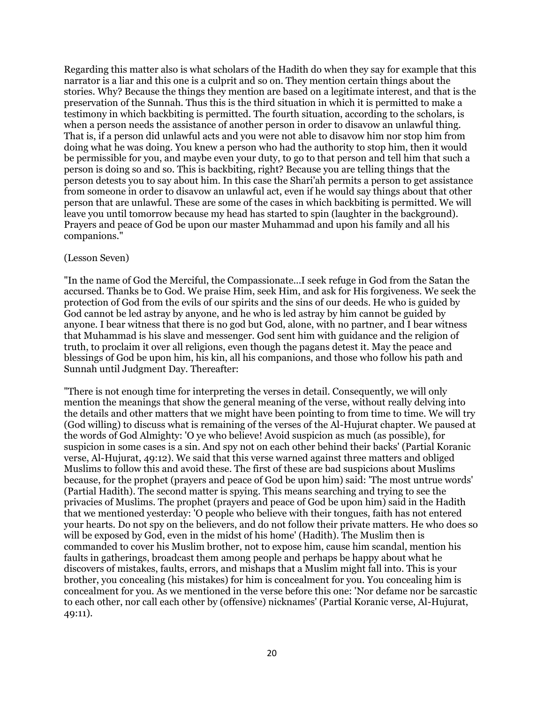Regarding this matter also is what scholars of the Hadith do when they say for example that this narrator is a liar and this one is a culprit and so on. They mention certain things about the stories. Why? Because the things they mention are based on a legitimate interest, and that is the preservation of the Sunnah. Thus this is the third situation in which it is permitted to make a testimony in which backbiting is permitted. The fourth situation, according to the scholars, is when a person needs the assistance of another person in order to disavow an unlawful thing. That is, if a person did unlawful acts and you were not able to disavow him nor stop him from doing what he was doing. You knew a person who had the authority to stop him, then it would be permissible for you, and maybe even your duty, to go to that person and tell him that such a person is doing so and so. This is backbiting, right? Because you are telling things that the person detests you to say about him. In this case the Shari'ah permits a person to get assistance from someone in order to disavow an unlawful act, even if he would say things about that other person that are unlawful. These are some of the cases in which backbiting is permitted. We will leave you until tomorrow because my head has started to spin (laughter in the background). Prayers and peace of God be upon our master Muhammad and upon his family and all his companions."

## (Lesson Seven)

"In the name of God the Merciful, the Compassionate...I seek refuge in God from the Satan the accursed. Thanks be to God. We praise Him, seek Him, and ask for His forgiveness. We seek the protection of God from the evils of our spirits and the sins of our deeds. He who is guided by God cannot be led astray by anyone, and he who is led astray by him cannot be guided by anyone. I bear witness that there is no god but God, alone, with no partner, and I bear witness that Muhammad is his slave and messenger. God sent him with guidance and the religion of truth, to proclaim it over all religions, even though the pagans detest it. May the peace and blessings of God be upon him, his kin, all his companions, and those who follow his path and Sunnah until Judgment Day. Thereafter:

"There is not enough time for interpreting the verses in detail. Consequently, we will only mention the meanings that show the general meaning of the verse, without really delving into the details and other matters that we might have been pointing to from time to time. We will try (God willing) to discuss what is remaining of the verses of the Al-Hujurat chapter. We paused at the words of God Almighty: 'O ye who believe! Avoid suspicion as much (as possible), for suspicion in some cases is a sin. And spy not on each other behind their backs' (Partial Koranic verse, Al-Hujurat, 49:12). We said that this verse warned against three matters and obliged Muslims to follow this and avoid these. The first of these are bad suspicions about Muslims because, for the prophet (prayers and peace of God be upon him) said: 'The most untrue words' (Partial Hadith). The second matter is spying. This means searching and trying to see the privacies of Muslims. The prophet (prayers and peace of God be upon him) said in the Hadith that we mentioned yesterday: 'O people who believe with their tongues, faith has not entered your hearts. Do not spy on the believers, and do not follow their private matters. He who does so will be exposed by God, even in the midst of his home' (Hadith). The Muslim then is commanded to cover his Muslim brother, not to expose him, cause him scandal, mention his faults in gatherings, broadcast them among people and perhaps be happy about what he discovers of mistakes, faults, errors, and mishaps that a Muslim might fall into. This is your brother, you concealing (his mistakes) for him is concealment for you. You concealing him is concealment for you. As we mentioned in the verse before this one: 'Nor defame nor be sarcastic to each other, nor call each other by (offensive) nicknames' (Partial Koranic verse, Al-Hujurat, 49:11).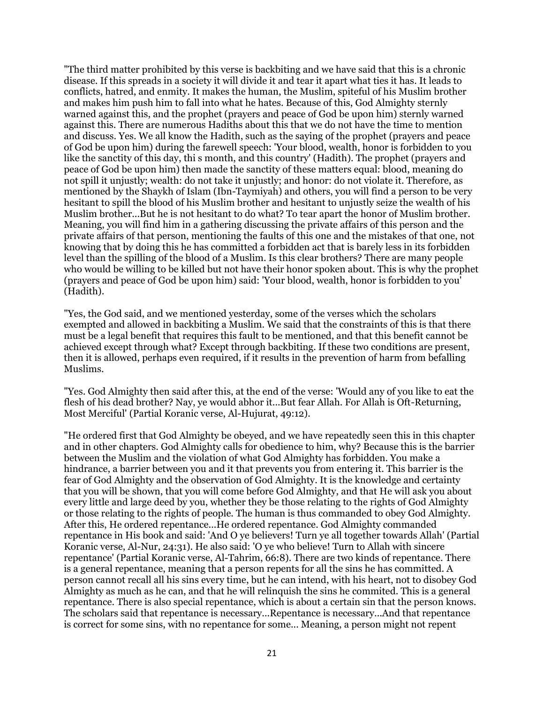"The third matter prohibited by this verse is backbiting and we have said that this is a chronic disease. If this spreads in a society it will divide it and tear it apart what ties it has. It leads to conflicts, hatred, and enmity. It makes the human, the Muslim, spiteful of his Muslim brother and makes him push him to fall into what he hates. Because of this, God Almighty sternly warned against this, and the prophet (prayers and peace of God be upon him) sternly warned against this. There are numerous Hadiths about this that we do not have the time to mention and discuss. Yes. We all know the Hadith, such as the saying of the prophet (prayers and peace of God be upon him) during the farewell speech: 'Your blood, wealth, honor is forbidden to you like the sanctity of this day, thi s month, and this country' (Hadith). The prophet (prayers and peace of God be upon him) then made the sanctity of these matters equal: blood, meaning do not spill it unjustly; wealth: do not take it unjustly; and honor: do not violate it. Therefore, as mentioned by the Shaykh of Islam (Ibn-Taymiyah) and others, you will find a person to be very hesitant to spill the blood of his Muslim brother and hesitant to unjustly seize the wealth of his Muslim brother...But he is not hesitant to do what? To tear apart the honor of Muslim brother. Meaning, you will find him in a gathering discussing the private affairs of this person and the private affairs of that person, mentioning the faults of this one and the mistakes of that one, not knowing that by doing this he has committed a forbidden act that is barely less in its forbidden level than the spilling of the blood of a Muslim. Is this clear brothers? There are many people who would be willing to be killed but not have their honor spoken about. This is why the prophet (prayers and peace of God be upon him) said: 'Your blood, wealth, honor is forbidden to you' (Hadith).

"Yes, the God said, and we mentioned yesterday, some of the verses which the scholars exempted and allowed in backbiting a Muslim. We said that the constraints of this is that there must be a legal benefit that requires this fault to be mentioned, and that this benefit cannot be achieved except through what? Except through backbiting. If these two conditions are present, then it is allowed, perhaps even required, if it results in the prevention of harm from befalling Muslims.

"Yes. God Almighty then said after this, at the end of the verse: 'Would any of you like to eat the flesh of his dead brother? Nay, ye would abhor it...But fear Allah. For Allah is Oft-Returning, Most Merciful' (Partial Koranic verse, Al-Hujurat, 49:12).

"He ordered first that God Almighty be obeyed, and we have repeatedly seen this in this chapter and in other chapters. God Almighty calls for obedience to him, why? Because this is the barrier between the Muslim and the violation of what God Almighty has forbidden. You make a hindrance, a barrier between you and it that prevents you from entering it. This barrier is the fear of God Almighty and the observation of God Almighty. It is the knowledge and certainty that you will be shown, that you will come before God Almighty, and that He will ask you about every little and large deed by you, whether they be those relating to the rights of God Almighty or those relating to the rights of people. The human is thus commanded to obey God Almighty. After this, He ordered repentance...He ordered repentance. God Almighty commanded repentance in His book and said: 'And O ye believers! Turn ye all together towards Allah' (Partial Koranic verse, Al-Nur, 24:31). He also said: 'O ye who believe! Turn to Allah with sincere repentance' (Partial Koranic verse, Al-Tahrim, 66:8). There are two kinds of repentance. There is a general repentance, meaning that a person repents for all the sins he has committed. A person cannot recall all his sins every time, but he can intend, with his heart, not to disobey God Almighty as much as he can, and that he will relinquish the sins he commited. This is a general repentance. There is also special repentance, which is about a certain sin that the person knows. The scholars said that repentance is necessary...Repentance is necessary...And that repentance is correct for some sins, with no repentance for some... Meaning, a person might not repent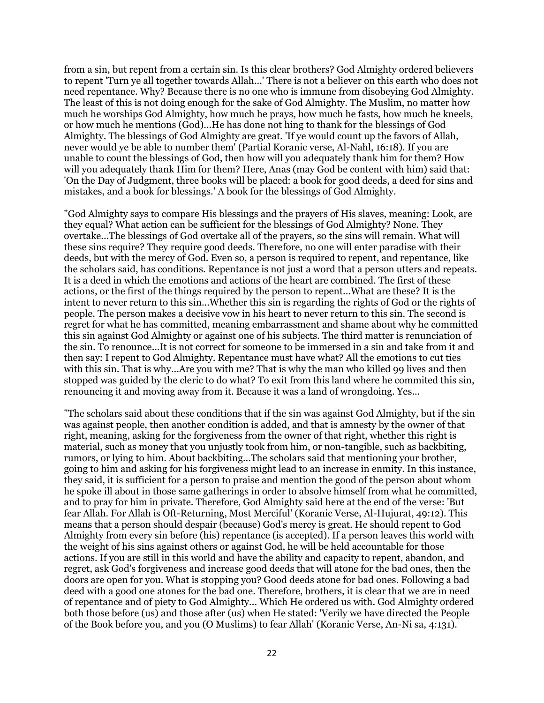from a sin, but repent from a certain sin. Is this clear brothers? God Almighty ordered believers to repent 'Turn ye all together towards Allah...' There is not a believer on this earth who does not need repentance. Why? Because there is no one who is immune from disobeying God Almighty. The least of this is not doing enough for the sake of God Almighty. The Muslim, no matter how much he worships God Almighty, how much he prays, how much he fasts, how much he kneels, or how much he mentions (God)...He has done not hing to thank for the blessings of God Almighty. The blessings of God Almighty are great. 'If ye would count up the favors of Allah, never would ye be able to number them' (Partial Koranic verse, Al-Nahl, 16:18). If you are unable to count the blessings of God, then how will you adequately thank him for them? How will you adequately thank Him for them? Here, Anas (may God be content with him) said that: 'On the Day of Judgment, three books will be placed: a book for good deeds, a deed for sins and mistakes, and a book for blessings.' A book for the blessings of God Almighty.

"God Almighty says to compare His blessings and the prayers of His slaves, meaning: Look, are they equal? What action can be sufficient for the blessings of God Almighty? None. They overtake...The blessings of God overtake all of the prayers, so the sins will remain. What will these sins require? They require good deeds. Therefore, no one will enter paradise with their deeds, but with the mercy of God. Even so, a person is required to repent, and repentance, like the scholars said, has conditions. Repentance is not just a word that a person utters and repeats. It is a deed in which the emotions and actions of the heart are combined. The first of these actions, or the first of the things required by the person to repent...What are these? It is the intent to never return to this sin...Whether this sin is regarding the rights of God or the rights of people. The person makes a decisive vow in his heart to never return to this sin. The second is regret for what he has committed, meaning embarrassment and shame about why he committed this sin against God Almighty or against one of his subjects. The third matter is renunciation of the sin. To renounce...It is not correct for someone to be immersed in a sin and take from it and then say: I repent to God Almighty. Repentance must have what? All the emotions to cut ties with this sin. That is why...Are you with me? That is why the man who killed 99 lives and then stopped was guided by the cleric to do what? To exit from this land where he commited this sin, renouncing it and moving away from it. Because it was a land of wrongdoing. Yes...

"The scholars said about these conditions that if the sin was against God Almighty, but if the sin was against people, then another condition is added, and that is amnesty by the owner of that right, meaning, asking for the forgiveness from the owner of that right, whether this right is material, such as money that you unjustly took from him, or non-tangible, such as backbiting, rumors, or lying to him. About backbiting...The scholars said that mentioning your brother, going to him and asking for his forgiveness might lead to an increase in enmity. In this instance, they said, it is sufficient for a person to praise and mention the good of the person about whom he spoke ill about in those same gatherings in order to absolve himself from what he committed, and to pray for him in private. Therefore, God Almighty said here at the end of the verse: 'But fear Allah. For Allah is Oft-Returning, Most Merciful' (Koranic Verse, Al-Hujurat, 49:12). This means that a person should despair (because) God's mercy is great. He should repent to God Almighty from every sin before (his) repentance (is accepted). If a person leaves this world with the weight of his sins against others or against God, he will be held accountable for those actions. If you are still in this world and have the ability and capacity to repent, abandon, and regret, ask God's forgiveness and increase good deeds that will atone for the bad ones, then the doors are open for you. What is stopping you? Good deeds atone for bad ones. Following a bad deed with a good one atones for the bad one. Therefore, brothers, it is clear that we are in need of repentance and of piety to God Almighty... Which He ordered us with. God Almighty ordered both those before (us) and those after (us) when He stated: 'Verily we have directed the People of the Book before you, and you (O Muslims) to fear Allah' (Koranic Verse, An-Ni sa, 4:131).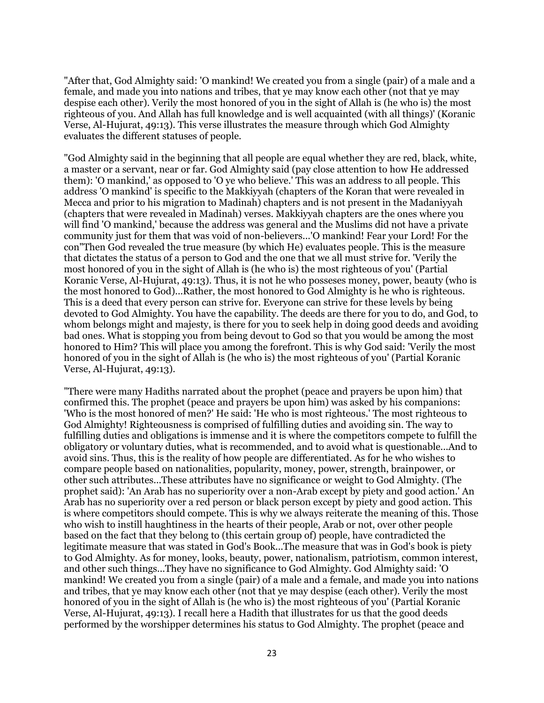"After that, God Almighty said: 'O mankind! We created you from a single (pair) of a male and a female, and made you into nations and tribes, that ye may know each other (not that ye may despise each other). Verily the most honored of you in the sight of Allah is (he who is) the most righteous of you. And Allah has full knowledge and is well acquainted (with all things)' (Koranic Verse, Al-Hujurat, 49:13). This verse illustrates the measure through which God Almighty evaluates the different statuses of people.

"God Almighty said in the beginning that all people are equal whether they are red, black, white, a master or a servant, near or far. God Almighty said (pay close attention to how He addressed them): 'O mankind,' as opposed to 'O ye who believe.' This was an address to all people. This address 'O mankind' is specific to the Makkiyyah (chapters of the Koran that were revealed in Mecca and prior to his migration to Madinah) chapters and is not present in the Madaniyyah (chapters that were revealed in Madinah) verses. Makkiyyah chapters are the ones where you will find 'O mankind,' because the address was general and the Muslims did not have a private community just for them that was void of non-believers...'O mankind! Fear your Lord! For the con"Then God revealed the true measure (by which He) evaluates people. This is the measure that dictates the status of a person to God and the one that we all must strive for. 'Verily the most honored of you in the sight of Allah is (he who is) the most righteous of you' (Partial Koranic Verse, Al-Hujurat, 49:13). Thus, it is not he who posseses money, power, beauty (who is the most honored to God)...Rather, the most honored to God Almighty is he who is righteous. This is a deed that every person can strive for. Everyone can strive for these levels by being devoted to God Almighty. You have the capability. The deeds are there for you to do, and God, to whom belongs might and majesty, is there for you to seek help in doing good deeds and avoiding bad ones. What is stopping you from being devout to God so that you would be among the most honored to Him? This will place you among the forefront. This is why God said: 'Verily the most honored of you in the sight of Allah is (he who is) the most righteous of you' (Partial Koranic Verse, Al-Hujurat, 49:13).

"There were many Hadiths narrated about the prophet (peace and prayers be upon him) that confirmed this. The prophet (peace and prayers be upon him) was asked by his companions: 'Who is the most honored of men?' He said: 'He who is most righteous.' The most righteous to God Almighty! Righteousness is comprised of fulfilling duties and avoiding sin. The way to fulfilling duties and obligations is immense and it is where the competitors compete to fulfill the obligatory or voluntary duties, what is recommended, and to avoid what is questionable...And to avoid sins. Thus, this is the reality of how people are differentiated. As for he who wishes to compare people based on nationalities, popularity, money, power, strength, brainpower, or other such attributes...These attributes have no significance or weight to God Almighty. (The prophet said): 'An Arab has no superiority over a non-Arab except by piety and good action.' An Arab has no superiority over a red person or black person except by piety and good action. This is where competitors should compete. This is why we always reiterate the meaning of this. Those who wish to instill haughtiness in the hearts of their people, Arab or not, over other people based on the fact that they belong to (this certain group of) people, have contradicted the legitimate measure that was stated in God's Book...The measure that was in God's book is piety to God Almighty. As for money, looks, beauty, power, nationalism, patriotism, common interest, and other such things...They have no significance to God Almighty. God Almighty said: 'O mankind! We created you from a single (pair) of a male and a female, and made you into nations and tribes, that ye may know each other (not that ye may despise (each other). Verily the most honored of you in the sight of Allah is (he who is) the most righteous of you' (Partial Koranic Verse, Al-Hujurat, 49:13). I recall here a Hadith that illustrates for us that the good deeds performed by the worshipper determines his status to God Almighty. The prophet (peace and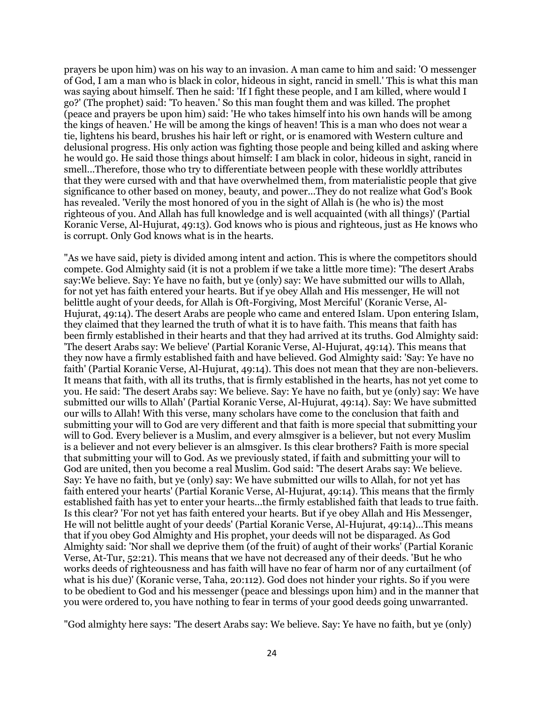prayers be upon him) was on his way to an invasion. A man came to him and said: 'O messenger of God, I am a man who is black in color, hideous in sight, rancid in smell.' This is what this man was saying about himself. Then he said: 'If I fight these people, and I am killed, where would I go?' (The prophet) said: 'To heaven.' So this man fought them and was killed. The prophet (peace and prayers be upon him) said: 'He who takes himself into his own hands will be among the kings of heaven.' He will be among the kings of heaven! This is a man who does not wear a tie, lightens his beard, brushes his hair left or right, or is enamored with Western culture and delusional progress. His only action was fighting those people and being killed and asking where he would go. He said those things about himself: I am black in color, hideous in sight, rancid in smell...Therefore, those who try to differentiate between people with these worldly attributes that they were cursed with and that have overwhelmed them, from materialistic people that give significance to other based on money, beauty, and power...They do not realize what God's Book has revealed. 'Verily the most honored of you in the sight of Allah is (he who is) the most righteous of you. And Allah has full knowledge and is well acquainted (with all things)' (Partial Koranic Verse, Al-Hujurat, 49:13). God knows who is pious and righteous, just as He knows who is corrupt. Only God knows what is in the hearts.

"As we have said, piety is divided among intent and action. This is where the competitors should compete. God Almighty said (it is not a problem if we take a little more time): 'The desert Arabs say:We believe. Say: Ye have no faith, but ye (only) say: We have submitted our wills to Allah, for not yet has faith entered your hearts. But if ye obey Allah and His messenger, He will not belittle aught of your deeds, for Allah is Oft-Forgiving, Most Merciful' (Koranic Verse, Al-Hujurat, 49:14). The desert Arabs are people who came and entered Islam. Upon entering Islam, they claimed that they learned the truth of what it is to have faith. This means that faith has been firmly established in their hearts and that they had arrived at its truths. God Almighty said: 'The desert Arabs say: We believe' (Partial Koranic Verse, Al-Hujurat, 49:14). This means that they now have a firmly established faith and have believed. God Almighty said: 'Say: Ye have no faith' (Partial Koranic Verse, Al-Hujurat, 49:14). This does not mean that they are non-believers. It means that faith, with all its truths, that is firmly established in the hearts, has not yet come to you. He said: 'The desert Arabs say: We believe. Say: Ye have no faith, but ye (only) say: We have submitted our wills to Allah' (Partial Koranic Verse, Al-Hujurat, 49:14). Say: We have submitted our wills to Allah! With this verse, many scholars have come to the conclusion that faith and submitting your will to God are very different and that faith is more special that submitting your will to God. Every believer is a Muslim, and every almsgiver is a believer, but not every Muslim is a believer and not every believer is an almsgiver. Is this clear brothers? Faith is more special that submitting your will to God. As we previously stated, if faith and submitting your will to God are united, then you become a real Muslim. God said: 'The desert Arabs say: We believe. Say: Ye have no faith, but ye (only) say: We have submitted our wills to Allah, for not yet has faith entered your hearts' (Partial Koranic Verse, Al-Hujurat, 49:14). This means that the firmly established faith has yet to enter your hearts...the firmly established faith that leads to true faith. Is this clear? 'For not yet has faith entered your hearts. But if ye obey Allah and His Messenger, He will not belittle aught of your deeds' (Partial Koranic Verse, Al-Hujurat, 49:14)...This means that if you obey God Almighty and His prophet, your deeds will not be disparaged. As God Almighty said: 'Nor shall we deprive them (of the fruit) of aught of their works' (Partial Koranic Verse, At-Tur, 52:21). This means that we have not decreased any of their deeds. 'But he who works deeds of righteousness and has faith will have no fear of harm nor of any curtailment (of what is his due)' (Koranic verse, Taha, 20:112). God does not hinder your rights. So if you were to be obedient to God and his messenger (peace and blessings upon him) and in the manner that you were ordered to, you have nothing to fear in terms of your good deeds going unwarranted.

"God almighty here says: 'The desert Arabs say: We believe. Say: Ye have no faith, but ye (only)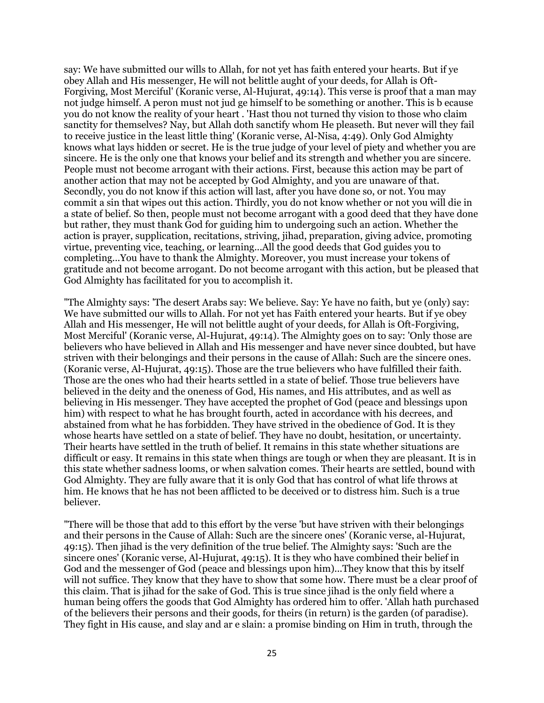say: We have submitted our wills to Allah, for not yet has faith entered your hearts. But if ye obey Allah and His messenger, He will not belittle aught of your deeds, for Allah is Oft-Forgiving, Most Merciful' (Koranic verse, Al-Hujurat, 49:14). This verse is proof that a man may not judge himself. A peron must not jud ge himself to be something or another. This is b ecause you do not know the reality of your heart . 'Hast thou not turned thy vision to those who claim sanctity for themselves? Nay, but Allah doth sanctify whom He pleaseth. But never will they fail to receive justice in the least little thing' (Koranic verse, Al-Nisa, 4:49). Only God Almighty knows what lays hidden or secret. He is the true judge of your level of piety and whether you are sincere. He is the only one that knows your belief and its strength and whether you are sincere. People must not become arrogant with their actions. First, because this action may be part of another action that may not be accepted by God Almighty, and you are unaware of that. Secondly, you do not know if this action will last, after you have done so, or not. You may commit a sin that wipes out this action. Thirdly, you do not know whether or not you will die in a state of belief. So then, people must not become arrogant with a good deed that they have done but rather, they must thank God for guiding him to undergoing such an action. Whether the action is prayer, supplication, recitations, striving, jihad, preparation, giving advice, promoting virtue, preventing vice, teaching, or learning...All the good deeds that God guides you to completing...You have to thank the Almighty. Moreover, you must increase your tokens of gratitude and not become arrogant. Do not become arrogant with this action, but be pleased that God Almighty has facilitated for you to accomplish it.

"The Almighty says: 'The desert Arabs say: We believe. Say: Ye have no faith, but ye (only) say: We have submitted our wills to Allah. For not yet has Faith entered your hearts. But if ye obey Allah and His messenger, He will not belittle aught of your deeds, for Allah is Oft-Forgiving, Most Merciful' (Koranic verse, Al-Hujurat, 49:14). The Almighty goes on to say: 'Only those are believers who have believed in Allah and His messenger and have never since doubted, but have striven with their belongings and their persons in the cause of Allah: Such are the sincere ones. (Koranic verse, Al-Hujurat, 49:15). Those are the true believers who have fulfilled their faith. Those are the ones who had their hearts settled in a state of belief. Those true believers have believed in the deity and the oneness of God, His names, and His attributes, and as well as believing in His messenger. They have accepted the prophet of God (peace and blessings upon him) with respect to what he has brought fourth, acted in accordance with his decrees, and abstained from what he has forbidden. They have strived in the obedience of God. It is they whose hearts have settled on a state of belief. They have no doubt, hesitation, or uncertainty. Their hearts have settled in the truth of belief. It remains in this state whether situations are difficult or easy. It remains in this state when things are tough or when they are pleasant. It is in this state whether sadness looms, or when salvation comes. Their hearts are settled, bound with God Almighty. They are fully aware that it is only God that has control of what life throws at him. He knows that he has not been afflicted to be deceived or to distress him. Such is a true believer.

"There will be those that add to this effort by the verse 'but have striven with their belongings and their persons in the Cause of Allah: Such are the sincere ones' (Koranic verse, al-Hujurat, 49:15). Then jihad is the very definition of the true belief. The Almighty says: 'Such are the sincere ones' (Koranic verse, Al-Hujurat, 49:15). It is they who have combined their belief in God and the messenger of God (peace and blessings upon him)...They know that this by itself will not suffice. They know that they have to show that some how. There must be a clear proof of this claim. That is jihad for the sake of God. This is true since jihad is the only field where a human being offers the goods that God Almighty has ordered him to offer. 'Allah hath purchased of the believers their persons and their goods, for theirs (in return) is the garden (of paradise). They fight in His cause, and slay and ar e slain: a promise binding on Him in truth, through the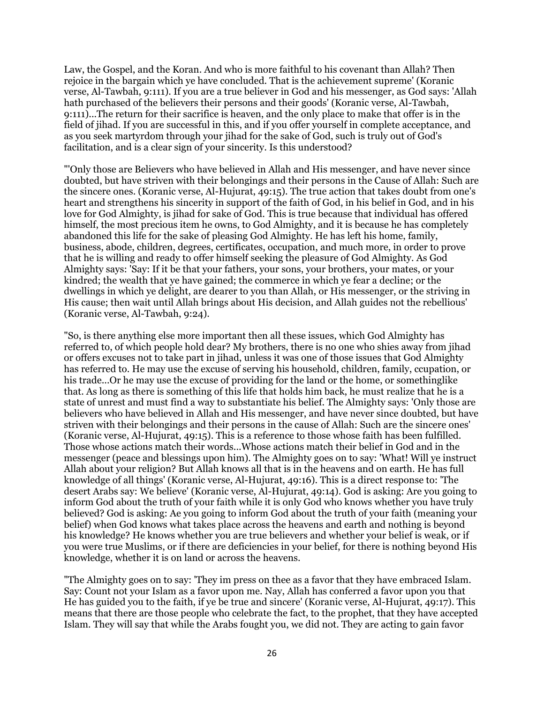Law, the Gospel, and the Koran. And who is more faithful to his covenant than Allah? Then rejoice in the bargain which ye have concluded. That is the achievement supreme' (Koranic verse, Al-Tawbah, 9:111). If you are a true believer in God and his messenger, as God says: 'Allah hath purchased of the believers their persons and their goods' (Koranic verse, Al-Tawbah, 9:111)...The return for their sacrifice is heaven, and the only place to make that offer is in the field of jihad. If you are successful in this, and if you offer yourself in complete acceptance, and as you seek martyrdom through your jihad for the sake of God, such is truly out of God's facilitation, and is a clear sign of your sincerity. Is this understood?

"'Only those are Believers who have believed in Allah and His messenger, and have never since doubted, but have striven with their belongings and their persons in the Cause of Allah: Such are the sincere ones. (Koranic verse, Al-Hujurat, 49:15). The true action that takes doubt from one's heart and strengthens his sincerity in support of the faith of God, in his belief in God, and in his love for God Almighty, is jihad for sake of God. This is true because that individual has offered himself, the most precious item he owns, to God Almighty, and it is because he has completely abandoned this life for the sake of pleasing God Almighty. He has left his home, family, business, abode, children, degrees, certificates, occupation, and much more, in order to prove that he is willing and ready to offer himself seeking the pleasure of God Almighty. As God Almighty says: 'Say: If it be that your fathers, your sons, your brothers, your mates, or your kindred; the wealth that ye have gained; the commerce in which ye fear a decline; or the dwellings in which ye delight, are dearer to you than Allah, or His messenger, or the striving in His cause; then wait until Allah brings about His decision, and Allah guides not the rebellious' (Koranic verse, Al-Tawbah, 9:24).

"So, is there anything else more important then all these issues, which God Almighty has referred to, of which people hold dear? My brothers, there is no one who shies away from jihad or offers excuses not to take part in jihad, unless it was one of those issues that God Almighty has referred to. He may use the excuse of serving his household, children, family, ccupation, or his trade...Or he may use the excuse of providing for the land or the home, or somethinglike that. As long as there is something of this life that holds him back, he must realize that he is a state of unrest and must find a way to substantiate his belief. The Almighty says: 'Only those are believers who have believed in Allah and His messenger, and have never since doubted, but have striven with their belongings and their persons in the cause of Allah: Such are the sincere ones' (Koranic verse, Al-Hujurat, 49:15). This is a reference to those whose faith has been fulfilled. Those whose actions match their words...Whose actions match their belief in God and in the messenger (peace and blessings upon him). The Almighty goes on to say: 'What! Will ye instruct Allah about your religion? But Allah knows all that is in the heavens and on earth. He has full knowledge of all things' (Koranic verse, Al-Hujurat, 49:16). This is a direct response to: 'The desert Arabs say: We believe' (Koranic verse, Al-Hujurat, 49:14). God is asking: Are you going to inform God about the truth of your faith while it is only God who knows whether you have truly believed? God is asking: Ae you going to inform God about the truth of your faith (meaning your belief) when God knows what takes place across the heavens and earth and nothing is beyond his knowledge? He knows whether you are true believers and whether your belief is weak, or if you were true Muslims, or if there are deficiencies in your belief, for there is nothing beyond His knowledge, whether it is on land or across the heavens.

"The Almighty goes on to say: 'They im press on thee as a favor that they have embraced Islam. Say: Count not your Islam as a favor upon me. Nay, Allah has conferred a favor upon you that He has guided you to the faith, if ye be true and sincere' (Koranic verse, Al-Hujurat, 49:17). This means that there are those people who celebrate the fact, to the prophet, that they have accepted Islam. They will say that while the Arabs fought you, we did not. They are acting to gain favor